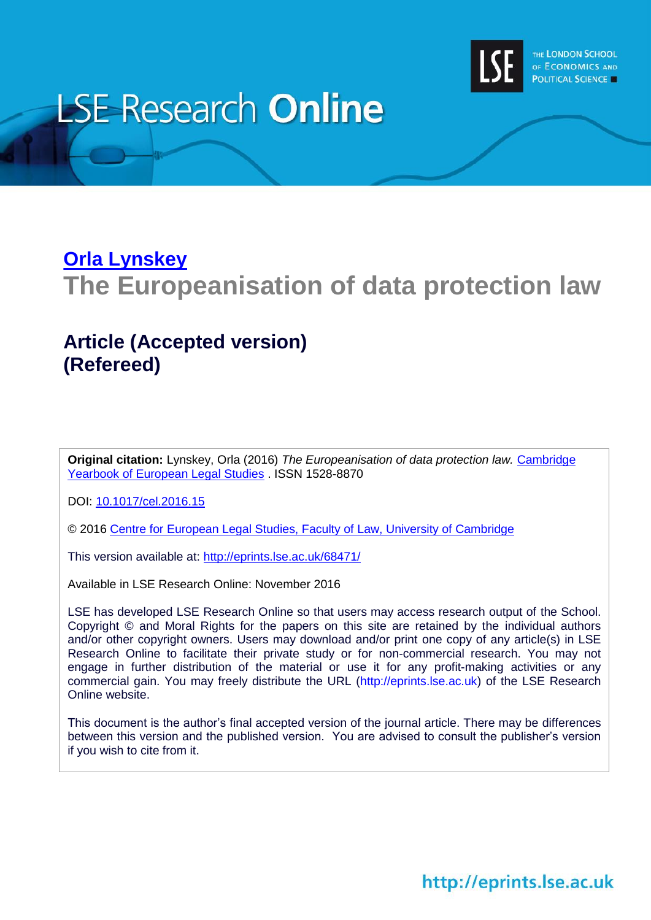

# **LSE Research Online**

## **[Orla Lynskey](mailto:http://www.lse.ac.uk/researchAndExpertise/Experts/profile.aspx?KeyValue=o.lynskey@lse.ac.uk) The Europeanisation of data protection law**

### **Article (Accepted version) (Refereed)**

**Original citation:** Lynskey, Orla (2016) *The Europeanisation of data protection law.* [Cambridge](mailto:https://www.cambridge.org/core/journals/cambridge-yearbook-of-european-legal-studies)  [Yearbook of European Legal Studies](mailto:https://www.cambridge.org/core/journals/cambridge-yearbook-of-european-legal-studies) . ISSN 1528-8870

DOI: [10.1017/cel.2016.15](http://dx.doi.org/10.1017/cel.2016.15)

© 2016 [Centre for European Legal Studies, Faculty of Law, University of Cambridge](mailto:http://www.cels.law.cam.ac.uk/)

This version available at:<http://eprints.lse.ac.uk/68471/>

Available in LSE Research Online: November 2016

LSE has developed LSE Research Online so that users may access research output of the School. Copyright © and Moral Rights for the papers on this site are retained by the individual authors and/or other copyright owners. Users may download and/or print one copy of any article(s) in LSE Research Online to facilitate their private study or for non-commercial research. You may not engage in further distribution of the material or use it for any profit-making activities or any commercial gain. You may freely distribute the URL (http://eprints.lse.ac.uk) of the LSE Research Online website.

This document is the author's final accepted version of the journal article. There may be differences between this version and the published version. You are advised to consult the publisher's version if you wish to cite from it.

http://eprints.lse.ac.uk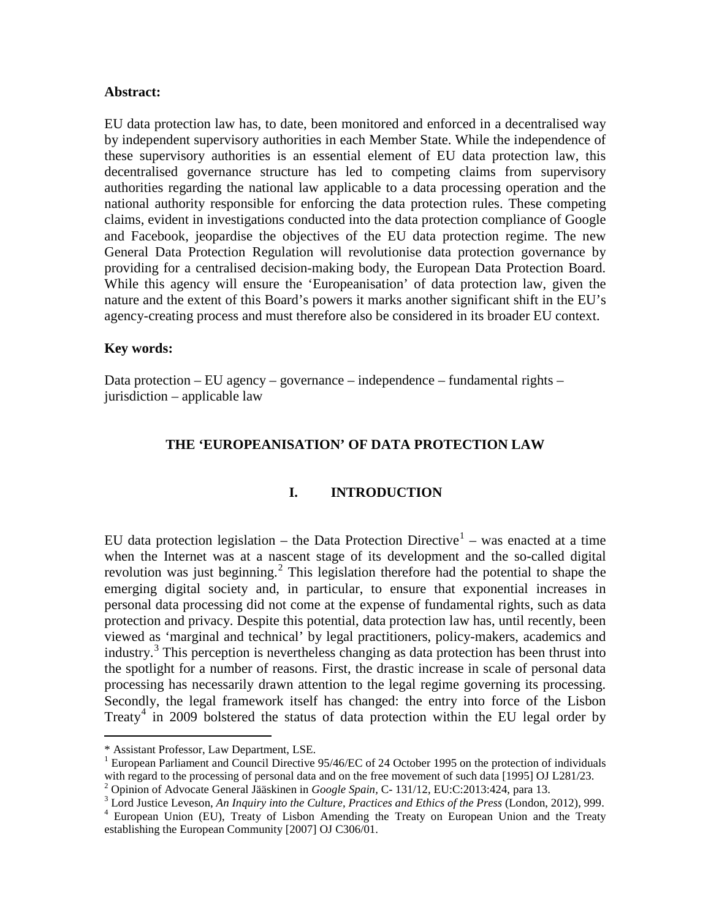#### **Abstract:**

EU data protection law has, to date, been monitored and enforced in a decentralised way by independent supervisory authorities in each Member State. While the independence of these supervisory authorities is an essential element of EU data protection law, this decentralised governance structure has led to competing claims from supervisory authorities regarding the national law applicable to a data processing operation and the national authority responsible for enforcing the data protection rules. These competing claims, evident in investigations conducted into the data protection compliance of Google and Facebook, jeopardise the objectives of the EU data protection regime. The new General Data Protection Regulation will revolutionise data protection governance by providing for a centralised decision-making body, the European Data Protection Board. While this agency will ensure the 'Europeanisation' of data protection law, given the nature and the extent of this Board's powers it marks another significant shift in the EU's agency-creating process and must therefore also be considered in its broader EU context.

#### **Key words:**

Data protection – EU agency – governance – independence – fundamental rights – jurisdiction – applicable law

#### **THE 'EUROPEANISATION' OF DATA PROTECTION LAW**

#### **I. INTRODUCTION**

<span id="page-1-4"></span>EU data protection legislation – the Data Protection Directive<sup>[1](#page-1-0)</sup> – was enacted at a time when the Internet was at a nascent stage of its development and the so-called digital revolution was just beginning.<sup>[2](#page-1-1)</sup> This legislation therefore had the potential to shape the emerging digital society and, in particular, to ensure that exponential increases in personal data processing did not come at the expense of fundamental rights, such as data protection and privacy. Despite this potential, data protection law has, until recently, been viewed as 'marginal and technical' by legal practitioners, policy-makers, academics and industry.<sup>[3](#page-1-2)</sup> This perception is nevertheless changing as data protection has been thrust into the spotlight for a number of reasons. First, the drastic increase in scale of personal data processing has necessarily drawn attention to the legal regime governing its processing. Secondly, the legal framework itself has changed: the entry into force of the Lisbon Treaty<sup>[4](#page-1-3)</sup> in 2009 bolstered the status of data protection within the EU legal order by

 $\overline{a}$ 

<span id="page-1-0"></span><sup>\*</sup> Assistant Professor, Law Department, LSE.

<sup>&</sup>lt;sup>1</sup> European Parliament and Council Directive 95/46/EC of 24 October 1995 on the protection of individuals with regard to the processing of personal data and on the free movement of such data [1995] OJ L281/23.<br><sup>2</sup> Opinion of Advocate General Jääskinen in *Google Spain*, C-131/12, EU:C:2013:424, para 13.

<span id="page-1-3"></span><span id="page-1-2"></span><span id="page-1-1"></span><sup>&</sup>lt;sup>3</sup> Lord Justice Leveson, *An Inquiry into the Culture, Practices and Ethics of the Press* (London, 2012), 999.<br><sup>4</sup> European Union (EU), Treaty of Lisbon Amending the Treaty on European Union and the Treaty establishing the European Community [2007] OJ C306/01.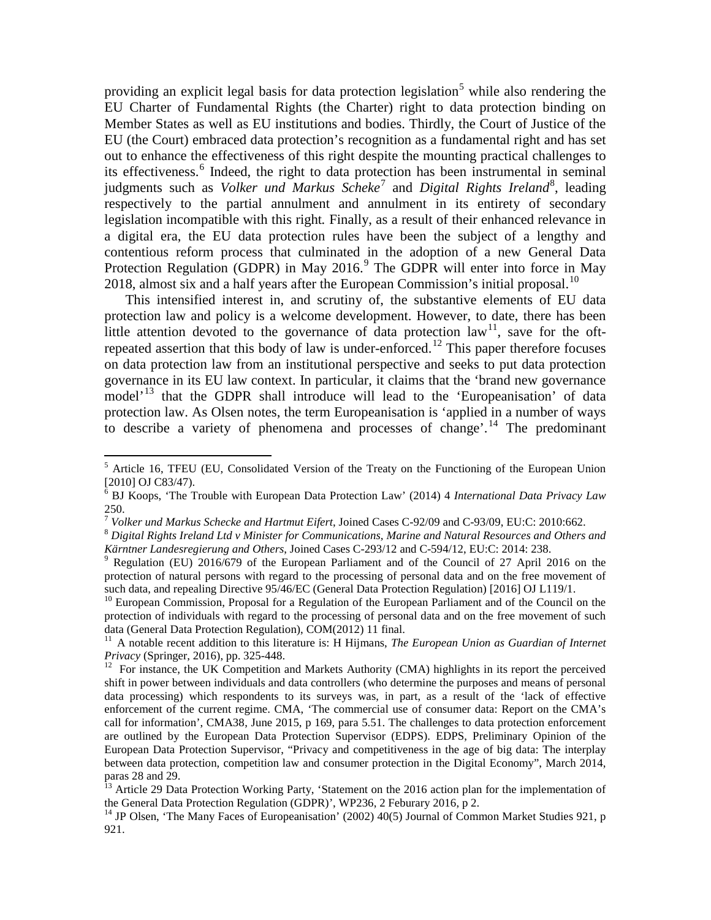providing an explicit legal basis for data protection legislation<sup>[5](#page-1-4)</sup> while also rendering the EU Charter of Fundamental Rights (the Charter) right to data protection binding on Member States as well as EU institutions and bodies. Thirdly, the Court of Justice of the EU (the Court) embraced data protection's recognition as a fundamental right and has set out to enhance the effectiveness of this right despite the mounting practical challenges to its effectiveness.<sup>[6](#page-2-0)</sup> Indeed, the right to data protection has been instrumental in seminal judgments such as *Volker und Markus Scheke*<sup>[7](#page-2-1)</sup> and *Digital Rights Ireland*<sup>[8](#page-2-2)</sup>, leading respectively to the partial annulment and annulment in its entirety of secondary legislation incompatible with this right*.* Finally, as a result of their enhanced relevance in a digital era, the EU data protection rules have been the subject of a lengthy and contentious reform process that culminated in the adoption of a new General Data Protection Regulation (GDPR) in May 2016. $9$  The GDPR will enter into force in May 2018, almost six and a half years after the European Commission's initial proposal.<sup>[10](#page-2-4)</sup>

This intensified interest in, and scrutiny of, the substantive elements of EU data protection law and policy is a welcome development. However, to date, there has been little attention devoted to the governance of data protection  $law<sup>11</sup>$ , save for the oft-repeated assertion that this body of law is under-enforced.<sup>[12](#page-2-6)</sup> This paper therefore focuses on data protection law from an institutional perspective and seeks to put data protection governance in its EU law context. In particular, it claims that the 'brand new governance model<sup>, [13](#page-2-7)</sup> that the GDPR shall introduce will lead to the 'Europeanisation' of data protection law. As Olsen notes, the term Europeanisation is 'applied in a number of ways to describe a variety of phenomena and processes of change'.<sup>[14](#page-2-8)</sup> The predominant

 $<sup>5</sup>$  Article 16, TFEU (EU, Consolidated Version of the Treaty on the Functioning of the European Union</sup> [2010] OJ C83/47).

<span id="page-2-0"></span><sup>6</sup> BJ Koops, 'The Trouble with European Data Protection Law' (2014) 4 *International Data Privacy Law* 250.

<span id="page-2-2"></span><span id="page-2-1"></span><sup>&</sup>lt;sup>7</sup> Volker und Markus Schecke and Hartmut Eifert, Joined Cases C-92/09 and C-93/09, EU:C: 2010:662.<br><sup>8</sup> Digital Rights Ireland Ltd v Minister for Communications, Marine and Natural Resources and Others and *Kärntner Landesregierung and Others*, Joined Cases C-293/12 and C-594/12, EU:C: 2014: 238.<br><sup>9</sup> Regulation (EU) 2016/679 of the European Parliament and of the Council of 27 April 2016 on the

<span id="page-2-3"></span>protection of natural persons with regard to the processing of personal data and on the free movement of such data, and repealing Directive 95/46/EC (General Data Protection Regulation) [2016] OJ L119/1.

<span id="page-2-4"></span> $10$  European Commission, Proposal for a Regulation of the European Parliament and of the Council on the protection of individuals with regard to the processing of personal data and on the free movement of such data (General Data Protection Regulation), COM(2012) 11 final.

<span id="page-2-5"></span><sup>&</sup>lt;sup>11</sup> A notable recent addition to this literature is: H Hijmans, *The European Union as Guardian of Internet Privacy* (Springer, 2016), pp. 325-448.

<span id="page-2-6"></span><sup>&</sup>lt;sup>12</sup> For instance, the UK Competition and Markets Authority (CMA) highlights in its report the perceived shift in power between individuals and data controllers (who determine the purposes and means of personal data processing) which respondents to its surveys was, in part, as a result of the 'lack of effective enforcement of the current regime. CMA, 'The commercial use of consumer data: Report on the CMA's call for information', CMA38, June 2015, p 169, para 5.51. The challenges to data protection enforcement are outlined by the European Data Protection Supervisor (EDPS). EDPS, Preliminary Opinion of the European Data Protection Supervisor, "Privacy and competitiveness in the age of big data: The interplay between data protection, competition law and consumer protection in the Digital Economy", March 2014, paras 28 and 29.

<span id="page-2-9"></span><span id="page-2-7"></span><sup>&</sup>lt;sup>13</sup> Article 29 Data Protection Working Party, 'Statement on the 2016 action plan for the implementation of the General Data Protection Regulation (GDPR)', WP236, 2 Feburary 2016, p 2.

<span id="page-2-8"></span><sup>&</sup>lt;sup>14</sup> JP Olsen, 'The Many Faces of Europeanisation' (2002) 40(5) Journal of Common Market Studies 921, p 921.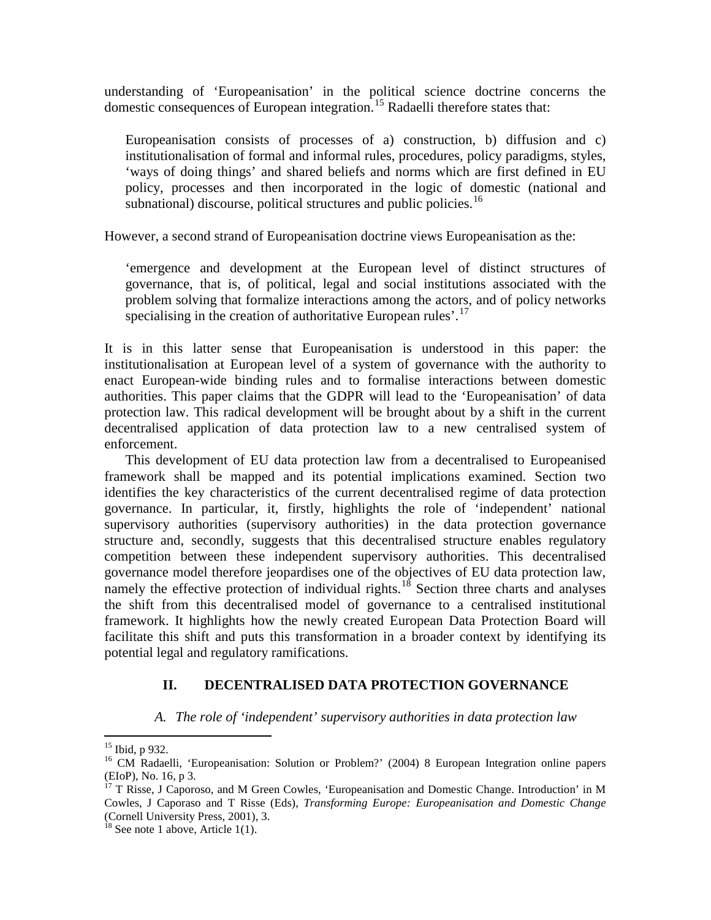understanding of 'Europeanisation' in the political science doctrine concerns the domestic consequences of European integration.<sup>[15](#page-2-9)</sup> Radaelli therefore states that:

Europeanisation consists of processes of a) construction, b) diffusion and c) institutionalisation of formal and informal rules, procedures, policy paradigms, styles, 'ways of doing things' and shared beliefs and norms which are first defined in EU policy, processes and then incorporated in the logic of domestic (national and subnational) discourse, political structures and public policies. $16$ 

However, a second strand of Europeanisation doctrine views Europeanisation as the:

'emergence and development at the European level of distinct structures of governance, that is, of political, legal and social institutions associated with the problem solving that formalize interactions among the actors, and of policy networks specialising in the creation of authoritative European rules'.<sup>[17](#page-3-1)</sup>

It is in this latter sense that Europeanisation is understood in this paper: the institutionalisation at European level of a system of governance with the authority to enact European-wide binding rules and to formalise interactions between domestic authorities. This paper claims that the GDPR will lead to the 'Europeanisation' of data protection law. This radical development will be brought about by a shift in the current decentralised application of data protection law to a new centralised system of enforcement.

This development of EU data protection law from a decentralised to Europeanised framework shall be mapped and its potential implications examined. Section two identifies the key characteristics of the current decentralised regime of data protection governance. In particular, it, firstly, highlights the role of 'independent' national supervisory authorities (supervisory authorities) in the data protection governance structure and, secondly, suggests that this decentralised structure enables regulatory competition between these independent supervisory authorities. This decentralised governance model therefore jeopardises one of the objectives of EU data protection law, namely the effective protection of individual rights.<sup>[18](#page-3-2)</sup> Section three charts and analyses the shift from this decentralised model of governance to a centralised institutional framework. It highlights how the newly created European Data Protection Board will facilitate this shift and puts this transformation in a broader context by identifying its potential legal and regulatory ramifications.

#### **II. DECENTRALISED DATA PROTECTION GOVERNANCE**

*A. The role of 'independent' supervisory authorities in data protection law*

<span id="page-3-3"></span><span id="page-3-0"></span><sup>&</sup>lt;sup>15</sup> Ibid, p 932.<br><sup>16</sup> CM Radaelli, 'Europeanisation: Solution or Problem?' (2004) 8 European Integration online papers (EIoP). No. 16, p 3.

<span id="page-3-1"></span><sup>&</sup>lt;sup>17</sup> T Risse, J Caporoso, and M Green Cowles, 'Europeanisation and Domestic Change. Introduction' in M Cowles, J Caporaso and T Risse (Eds), *Transforming Europe: Europeanisation and Domestic Change* (Cornell University Press, 2001), 3.

<span id="page-3-2"></span> $18$  See note 1 above, Article 1(1).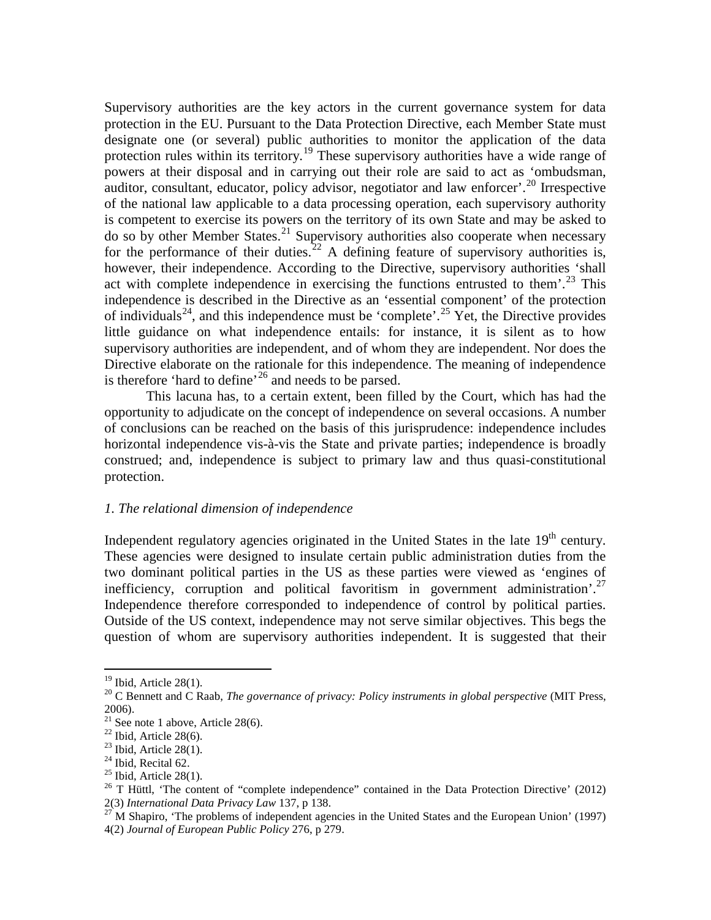Supervisory authorities are the key actors in the current governance system for data protection in the EU. Pursuant to the Data Protection Directive, each Member State must designate one (or several) public authorities to monitor the application of the data protection rules within its territory.<sup>[19](#page-3-3)</sup> These supervisory authorities have a wide range of powers at their disposal and in carrying out their role are said to act as 'ombudsman, auditor, consultant, educator, policy advisor, negotiator and law enforcer<sup>'. [20](#page-4-0)</sup> Irrespective of the national law applicable to a data processing operation, each supervisory authority is competent to exercise its powers on the territory of its own State and may be asked to do so by other Member States.<sup>[21](#page-4-1)</sup> Supervisory authorities also cooperate when necessary for the performance of their duties.<sup>[22](#page-4-2)</sup> A defining feature of supervisory authorities is, however, their independence. According to the Directive, supervisory authorities 'shall act with complete independence in exercising the functions entrusted to them'.<sup>[23](#page-4-3)</sup> This independence is described in the Directive as an 'essential component' of the protection of individuals<sup>[24](#page-4-4)</sup>, and this independence must be 'complete'.<sup>[25](#page-4-5)</sup> Yet, the Directive provides little guidance on what independence entails: for instance, it is silent as to how supervisory authorities are independent, and of whom they are independent. Nor does the Directive elaborate on the rationale for this independence. The meaning of independence is therefore 'hard to define'<sup>[26](#page-4-6)</sup> and needs to be parsed.

This lacuna has, to a certain extent, been filled by the Court, which has had the opportunity to adjudicate on the concept of independence on several occasions. A number of conclusions can be reached on the basis of this jurisprudence: independence includes horizontal independence vis-à-vis the State and private parties; independence is broadly construed; and, independence is subject to primary law and thus quasi-constitutional protection.

#### *1. The relational dimension of independence*

Independent regulatory agencies originated in the United States in the late  $19<sup>th</sup>$  century. These agencies were designed to insulate certain public administration duties from the two dominant political parties in the US as these parties were viewed as 'engines of inefficiency, corruption and political favoritism in government administration'.<sup>[27](#page-4-7)</sup> Independence therefore corresponded to independence of control by political parties. Outside of the US context, independence may not serve similar objectives. This begs the question of whom are supervisory authorities independent. It is suggested that their

<span id="page-4-0"></span><sup>&</sup>lt;sup>19</sup> Ibid, Article 28(1).<br><sup>20</sup> C Bennett and C Raab, *The governance of privacy: Policy instruments in global perspective (MIT Press,* 2006).<br><sup>21</sup> See note 1 above, Article 28(6).

<span id="page-4-4"></span>

<span id="page-4-6"></span><span id="page-4-5"></span>

<span id="page-4-3"></span><span id="page-4-2"></span><span id="page-4-1"></span><sup>&</sup>lt;sup>22</sup> Ibid, Article 28(6).<br>
<sup>23</sup> Ibid, Article 28(1).<br>
<sup>24</sup> Ibid, Recital 62.<br>
<sup>25</sup> Ibid, Article 28(1).<br>
<sup>25</sup> T Hüttl, 'The content of "complete independence" contained in the Data Protection Directive" (2012) 2(3) *International Data Privacy Law* 137, p 138. 27 M Shapiro, 'The problems of independent agencies in the United States and the European Union' (1997)

<span id="page-4-7"></span><sup>4(2)</sup> *Journal of European Public Policy* 276, p 279.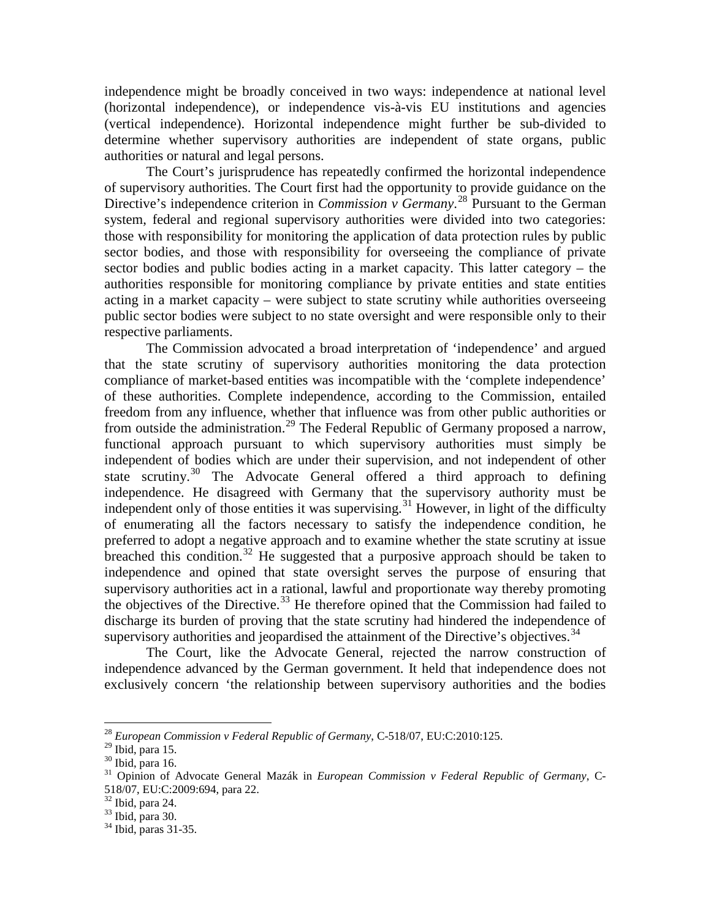independence might be broadly conceived in two ways: independence at national level (horizontal independence), or independence vis-à-vis EU institutions and agencies (vertical independence). Horizontal independence might further be sub-divided to determine whether supervisory authorities are independent of state organs, public authorities or natural and legal persons.

The Court's jurisprudence has repeatedly confirmed the horizontal independence of supervisory authorities. The Court first had the opportunity to provide guidance on the Directive's independence criterion in *Commission v Germany*. [28](#page-4-2) Pursuant to the German system, federal and regional supervisory authorities were divided into two categories: those with responsibility for monitoring the application of data protection rules by public sector bodies, and those with responsibility for overseeing the compliance of private sector bodies and public bodies acting in a market capacity. This latter category – the authorities responsible for monitoring compliance by private entities and state entities acting in a market capacity – were subject to state scrutiny while authorities overseeing public sector bodies were subject to no state oversight and were responsible only to their respective parliaments.

The Commission advocated a broad interpretation of 'independence' and argued that the state scrutiny of supervisory authorities monitoring the data protection compliance of market-based entities was incompatible with the 'complete independence' of these authorities. Complete independence, according to the Commission, entailed freedom from any influence, whether that influence was from other public authorities or from outside the administration.<sup>[29](#page-5-0)</sup> The Federal Republic of Germany proposed a narrow, functional approach pursuant to which supervisory authorities must simply be independent of bodies which are under their supervision, and not independent of other state scrutiny.<sup>[30](#page-5-1)</sup> The Advocate General offered a third approach to defining independence. He disagreed with Germany that the supervisory authority must be independent only of those entities it was supervising.<sup>[31](#page-5-2)</sup> However, in light of the difficulty of enumerating all the factors necessary to satisfy the independence condition, he preferred to adopt a negative approach and to examine whether the state scrutiny at issue breached this condition.<sup>[32](#page-5-3)</sup> He suggested that a purposive approach should be taken to independence and opined that state oversight serves the purpose of ensuring that supervisory authorities act in a rational, lawful and proportionate way thereby promoting the objectives of the Directive.<sup>[33](#page-5-4)</sup> He therefore opined that the Commission had failed to discharge its burden of proving that the state scrutiny had hindered the independence of supervisory authorities and jeopardised the attainment of the Directive's objectives.<sup>[34](#page-5-5)</sup>

The Court, like the Advocate General, rejected the narrow construction of independence advanced by the German government. It held that independence does not exclusively concern 'the relationship between supervisory authorities and the bodies

<span id="page-5-6"></span><sup>&</sup>lt;sup>28</sup> *European Commission v Federal Republic of Germany*, C-518/07, EU:C:2010:125.<br><sup>29</sup> Ibid, para 15.

<span id="page-5-2"></span><span id="page-5-1"></span><span id="page-5-0"></span><sup>&</sup>lt;sup>30</sup> Ibid, para 16.<br><sup>31</sup> Opinion of Advocate General Mazák in *European Commission v Federal Republic of Germany*, C-518/07, EU:C:2009:694, para 22.<br><sup>32</sup> Ibid, para 24.<br><sup>33</sup> Ibid, para 30.<br><sup>34</sup> Ibid, paras 31-35.

<span id="page-5-3"></span>

<span id="page-5-4"></span>

<span id="page-5-5"></span>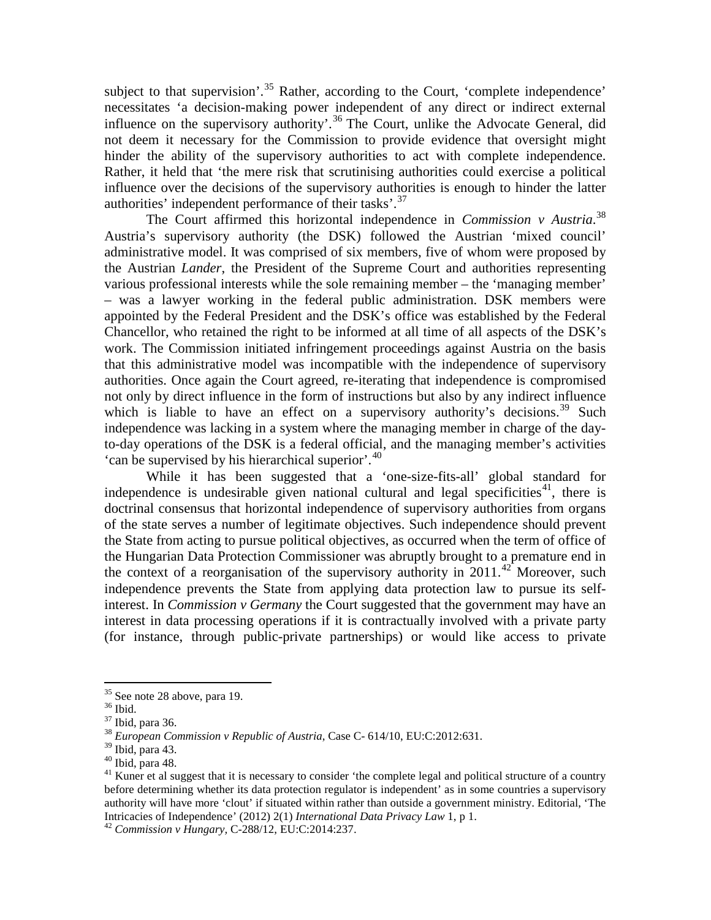subject to that supervision'.<sup>[35](#page-5-6)</sup> Rather, according to the Court, 'complete independence' necessitates 'a decision-making power independent of any direct or indirect external influence on the supervisory authority'.<sup>[36](#page-6-0)</sup> The Court, unlike the Advocate General, did not deem it necessary for the Commission to provide evidence that oversight might hinder the ability of the supervisory authorities to act with complete independence. Rather, it held that 'the mere risk that scrutinising authorities could exercise a political influence over the decisions of the supervisory authorities is enough to hinder the latter authorities' independent performance of their tasks'.[37](#page-6-1)

The Court affirmed this horizontal independence in *Commission v Austria*. [38](#page-6-2) Austria's supervisory authority (the DSK) followed the Austrian 'mixed council' administrative model. It was comprised of six members, five of whom were proposed by the Austrian *Lander*, the President of the Supreme Court and authorities representing various professional interests while the sole remaining member – the 'managing member' – was a lawyer working in the federal public administration. DSK members were appointed by the Federal President and the DSK's office was established by the Federal Chancellor, who retained the right to be informed at all time of all aspects of the DSK's work. The Commission initiated infringement proceedings against Austria on the basis that this administrative model was incompatible with the independence of supervisory authorities. Once again the Court agreed, re-iterating that independence is compromised not only by direct influence in the form of instructions but also by any indirect influence which is liable to have an effect on a supervisory authority's decisions.<sup>[39](#page-6-3)</sup> Such independence was lacking in a system where the managing member in charge of the dayto-day operations of the DSK is a federal official, and the managing member's activities 'can be supervised by his hierarchical superior'. [40](#page-6-4)

While it has been suggested that a 'one-size-fits-all' global standard for independence is undesirable given national cultural and legal specificities<sup>[41](#page-6-5)</sup>, there is doctrinal consensus that horizontal independence of supervisory authorities from organs of the state serves a number of legitimate objectives. Such independence should prevent the State from acting to pursue political objectives, as occurred when the term of office of the Hungarian Data Protection Commissioner was abruptly brought to a premature end in the context of a reorganisation of the supervisory authority in  $2011<sup>42</sup>$  $2011<sup>42</sup>$  $2011<sup>42</sup>$  Moreover, such independence prevents the State from applying data protection law to pursue its selfinterest. In *Commission v Germany* the Court suggested that the government may have an interest in data processing operations if it is contractually involved with a private party (for instance, through public-private partnerships) or would like access to private

<span id="page-6-2"></span><span id="page-6-1"></span>

<span id="page-6-7"></span><span id="page-6-0"></span><sup>&</sup>lt;sup>35</sup> See note 28 above, para 19.<br><sup>36</sup> Ibid.<br><sup>37</sup> Ibid, para 36.<br><sup>38</sup> *European Commission v Republic of Austria*, Case C- 614/10, EU:C:2012:631.<br><sup>39</sup> Ibid, para 43.

<span id="page-6-5"></span><span id="page-6-4"></span><span id="page-6-3"></span><sup>&</sup>lt;sup>40</sup> Ibid, para 48.<br><sup>41</sup> Kuner et al suggest that it is necessary to consider 'the complete legal and political structure of a country before determining whether its data protection regulator is independent' as in some countries a supervisory authority will have more 'clout' if situated within rather than outside a government ministry. Editorial, 'The Intricacies of Independence' (2012) 2(1) *International Data Privacy Law* 1, p 1. 42 *Commission v Hungary,* C-288/12, EU:C:2014:237.

<span id="page-6-6"></span>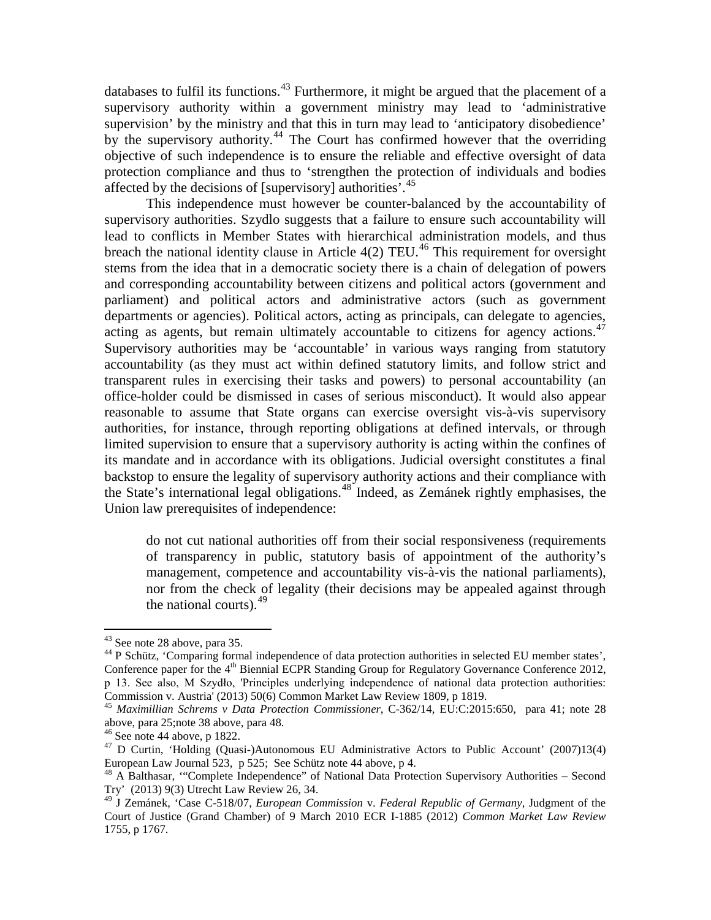databases to fulfil its functions.<sup>[43](#page-6-7)</sup> Furthermore, it might be argued that the placement of a supervisory authority within a government ministry may lead to 'administrative supervision' by the ministry and that this in turn may lead to 'anticipatory disobedience' by the supervisory authority.<sup>[44](#page-7-0)</sup> The Court has confirmed however that the overriding objective of such independence is to ensure the reliable and effective oversight of data protection compliance and thus to 'strengthen the protection of individuals and bodies affected by the decisions of [supervisory] authorities'.<sup>[45](#page-7-1)</sup>

This independence must however be counter-balanced by the accountability of supervisory authorities. Szydlo suggests that a failure to ensure such accountability will lead to conflicts in Member States with hierarchical administration models, and thus breach the national identity clause in Article  $4(2)$  TEU.<sup>[46](#page-7-2)</sup> This requirement for oversight stems from the idea that in a democratic society there is a chain of delegation of powers and corresponding accountability between citizens and political actors (government and parliament) and political actors and administrative actors (such as government departments or agencies). Political actors, acting as principals, can delegate to agencies, acting as agents, but remain ultimately accountable to citizens for agency actions. [47](#page-7-3) Supervisory authorities may be 'accountable' in various ways ranging from statutory accountability (as they must act within defined statutory limits, and follow strict and transparent rules in exercising their tasks and powers) to personal accountability (an office-holder could be dismissed in cases of serious misconduct). It would also appear reasonable to assume that State organs can exercise oversight vis-à-vis supervisory authorities, for instance, through reporting obligations at defined intervals, or through limited supervision to ensure that a supervisory authority is acting within the confines of its mandate and in accordance with its obligations. Judicial oversight constitutes a final backstop to ensure the legality of supervisory authority actions and their compliance with the State's international legal obligations. [48](#page-7-4) Indeed, as Zemánek rightly emphasises, the Union law prerequisites of independence:

do not cut national authorities off from their social responsiveness (requirements of transparency in public, statutory basis of appointment of the authority's management, competence and accountability vis-à-vis the national parliaments), nor from the check of legality (their decisions may be appealed against through the national courts).<sup>[49](#page-7-5)</sup>

<span id="page-7-0"></span><sup>&</sup>lt;sup>43</sup> See note 28 above, para 35.<br><sup>44</sup> P Schütz, 'Comparing formal independence of data protection authorities in selected EU member states', Conference paper for the 4<sup>th</sup> Biennial ECPR Standing Group for Regulatory Governance Conference 2012, p 13. See also, M Szydło, 'Principles underlying independence of national data protection authorities:

<span id="page-7-1"></span><sup>&</sup>lt;sup>45</sup> Maximillian Schrems v Data Protection Commissioner, C-362/14, EU:C:2015:650, para 41; note 28 above, para 25;note 38 above, para 48.

<span id="page-7-6"></span><span id="page-7-3"></span><span id="page-7-2"></span><sup>&</sup>lt;sup>46</sup> See note 44 above, p 1822.<br><sup>47</sup> D Curtin, 'Holding (Quasi-)Autonomous EU Administrative Actors to Public Account' (2007)13(4) European Law Journal 523, p 525; See Schütz note 44 above, p 4.

<span id="page-7-4"></span><sup>&</sup>lt;sup>48</sup> A Balthasar, "Complete Independence" of National Data Protection Supervisory Authorities – Second Try' (2013) 9(3) Utrecht Law Review 26, 34.

<span id="page-7-5"></span><sup>49</sup> J Zemánek, 'Case C-518/07, *European Commission* v. *Federal Republic of Germany*, Judgment of the Court of Justice (Grand Chamber) of 9 March 2010 ECR I-1885 (2012) *Common Market Law Review* 1755, p 1767.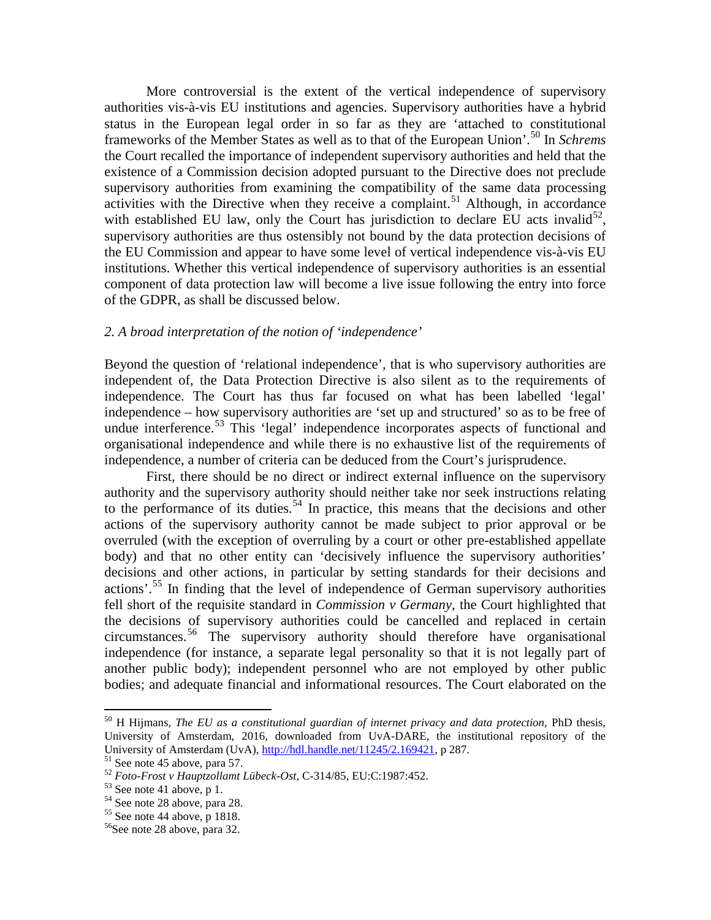More controversial is the extent of the vertical independence of supervisory authorities vis-à-vis EU institutions and agencies. Supervisory authorities have a hybrid status in the European legal order in so far as they are 'attached to constitutional frameworks of the Member States as well as to that of the European Union'.[50](#page-7-6) In *Schrems* the Court recalled the importance of independent supervisory authorities and held that the existence of a Commission decision adopted pursuant to the Directive does not preclude supervisory authorities from examining the compatibility of the same data processing activities with the Directive when they receive a complaint.<sup>[51](#page-8-0)</sup> Although, in accordance with established EU law, only the Court has jurisdiction to declare EU acts invalid<sup>[52](#page-8-1)</sup>, supervisory authorities are thus ostensibly not bound by the data protection decisions of the EU Commission and appear to have some level of vertical independence vis-à-vis EU institutions. Whether this vertical independence of supervisory authorities is an essential component of data protection law will become a live issue following the entry into force of the GDPR, as shall be discussed below.

#### *2. A broad interpretation of the notion of 'independence'*

Beyond the question of 'relational independence', that is who supervisory authorities are independent of, the Data Protection Directive is also silent as to the requirements of independence. The Court has thus far focused on what has been labelled 'legal' independence – how supervisory authorities are 'set up and structured' so as to be free of undue interference.<sup>[53](#page-8-2)</sup> This 'legal' independence incorporates aspects of functional and organisational independence and while there is no exhaustive list of the requirements of independence, a number of criteria can be deduced from the Court's jurisprudence.

First, there should be no direct or indirect external influence on the supervisory authority and the supervisory authority should neither take nor seek instructions relating to the performance of its duties.<sup>[54](#page-8-3)</sup> In practice, this means that the decisions and other actions of the supervisory authority cannot be made subject to prior approval or be overruled (with the exception of overruling by a court or other pre-established appellate body) and that no other entity can 'decisively influence the supervisory authorities' decisions and other actions, in particular by setting standards for their decisions and actions'.<sup>[55](#page-8-4)</sup> In finding that the level of independence of German supervisory authorities fell short of the requisite standard in *Commission v Germany*, the Court highlighted that the decisions of supervisory authorities could be cancelled and replaced in certain circumstances. [56](#page-8-5) The supervisory authority should therefore have organisational independence (for instance, a separate legal personality so that it is not legally part of another public body); independent personnel who are not employed by other public bodies; and adequate financial and informational resources. The Court elaborated on the

<span id="page-8-6"></span><sup>50</sup> H Hijmans, *The EU as a constitutional guardian of internet privacy and data protection*, PhD thesis, University of Amsterdam, 2016, downloaded from UvA-DARE, the institutional repository of the University of Amsterdam (UvA), http://hdl.handle.net/11245/2.169421, p 287.

<span id="page-8-1"></span><span id="page-8-0"></span><sup>&</sup>lt;sup>51</sup> See note 45 above, para 57.<br>
<sup>52</sup> Foto-Frost v Hauptzollamt Lübeck-Ost, C-314/85, EU:C:1987:452.<br>
<sup>53</sup> See note 41 above, p 1.<br>
<sup>54</sup> See note 28 above, para 28.<br>
<sup>55</sup> See note 44 above, p 1818.<br>
<sup>56</sup> See note 28 abov

<span id="page-8-2"></span>

<span id="page-8-3"></span>

<span id="page-8-4"></span>

<span id="page-8-5"></span>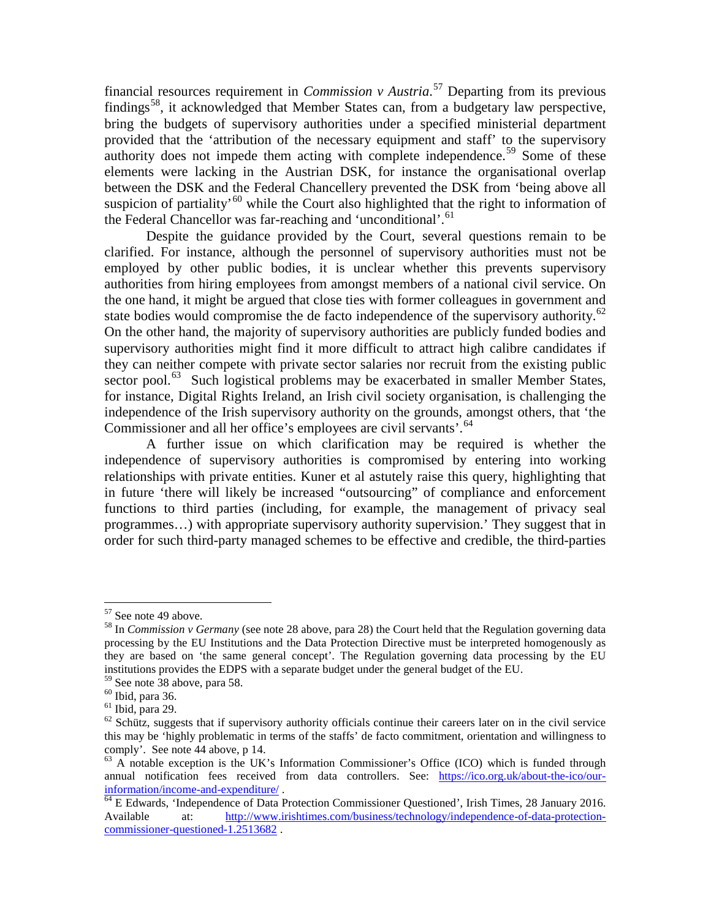financial resources requirement in *Commission v Austria*. [57](#page-8-6) Departing from its previous findings [58](#page-9-0), it acknowledged that Member States can, from a budgetary law perspective, bring the budgets of supervisory authorities under a specified ministerial department provided that the 'attribution of the necessary equipment and staff' to the supervisory authority does not impede them acting with complete independence.<sup>[59](#page-9-1)</sup> Some of these elements were lacking in the Austrian DSK, for instance the organisational overlap between the DSK and the Federal Chancellery prevented the DSK from 'being above all suspicion of partiality<sup>[60](#page-9-2)</sup> while the Court also highlighted that the right to information of the Federal Chancellor was far-reaching and 'unconditional'.<sup>[61](#page-9-3)</sup>

Despite the guidance provided by the Court, several questions remain to be clarified. For instance, although the personnel of supervisory authorities must not be employed by other public bodies, it is unclear whether this prevents supervisory authorities from hiring employees from amongst members of a national civil service. On the one hand, it might be argued that close ties with former colleagues in government and state bodies would compromise the de facto independence of the supervisory authority.<sup>[62](#page-9-4)</sup> On the other hand, the majority of supervisory authorities are publicly funded bodies and supervisory authorities might find it more difficult to attract high calibre candidates if they can neither compete with private sector salaries nor recruit from the existing public sector pool. $^{63}$  $^{63}$  $^{63}$  Such logistical problems may be exacerbated in smaller Member States, for instance, Digital Rights Ireland, an Irish civil society organisation, is challenging the independence of the Irish supervisory authority on the grounds, amongst others, that 'the Commissioner and all her office's employees are civil servants'.<sup>[64](#page-9-6)</sup>

A further issue on which clarification may be required is whether the independence of supervisory authorities is compromised by entering into working relationships with private entities. Kuner et al astutely raise this query, highlighting that in future 'there will likely be increased "outsourcing" of compliance and enforcement functions to third parties (including, for example, the management of privacy seal programmes…) with appropriate supervisory authority supervision.' They suggest that in order for such third-party managed schemes to be effective and credible, the third-parties

<span id="page-9-0"></span><sup>&</sup>lt;sup>57</sup> See note 49 above.<br><sup>58</sup> In *Commission v Germany* (see note 28 above, para 28) the Court held that the Regulation governing data processing by the EU Institutions and the Data Protection Directive must be interpreted homogenously as they are based on 'the same general concept'. The Regulation governing data processing by the EU institutions provides the EDPS with a separate budget under the general budget of the EU.<br><sup>59</sup> See note 38 above, para 58.

<span id="page-9-4"></span>

<span id="page-9-3"></span><span id="page-9-2"></span><span id="page-9-1"></span><sup>&</sup>lt;sup>60</sup> Ibid, para 36.<br><sup>61</sup> Ibid, para 29. 62 Schütz, suggests that if supervisory authority officials continue their careers later on in the civil service this may be 'highly problematic in terms of the staffs' de facto commitment, orientation and willingness to comply'. See note 44 above, p 14.

<span id="page-9-7"></span><span id="page-9-5"></span><sup>&</sup>lt;sup>63</sup> A notable exception is the UK's Information Commissioner's Office (ICO) which is funded through annual notification fees received from data controllers. See: [https://ico.org.uk/about-the-ico/our](https://ico.org.uk/about-the-ico/our-information/income-and-expenditure/)information/income-and-expenditure/ [.](https://ico.org.uk/about-the-ico/our-information/income-and-expenditure/) [64](https://ico.org.uk/about-the-ico/our-information/income-and-expenditure/) E Edwards, 'Independence of Data Protection Commissioner Questioned', Irish Times, 28 January 2016.

<span id="page-9-6"></span>Available at: [http://www.irishtimes.com/business/technology/independence-of-data-protection](http://www.irishtimes.com/business/technology/independence-of-data-protection-commissioner-questioned-1.2513682)[commissioner-questioned-1.2513682](http://www.irishtimes.com/business/technology/independence-of-data-protection-commissioner-questioned-1.2513682) .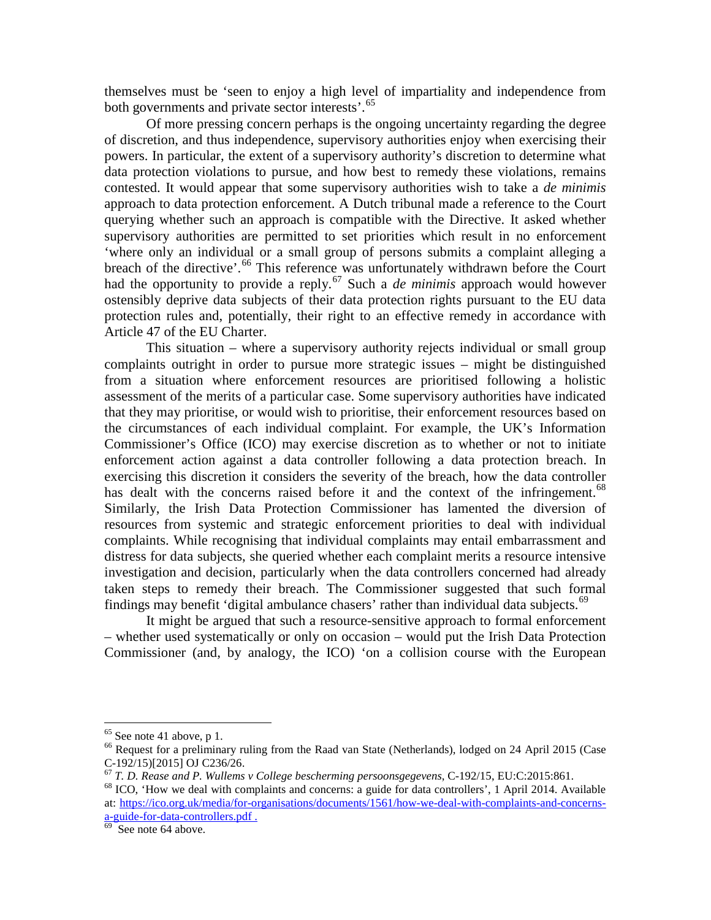themselves must be 'seen to enjoy a high level of impartiality and independence from both governments and private sector interests'.<sup>[65](#page-9-7)</sup>

Of more pressing concern perhaps is the ongoing uncertainty regarding the degree of discretion, and thus independence, supervisory authorities enjoy when exercising their powers. In particular, the extent of a supervisory authority's discretion to determine what data protection violations to pursue, and how best to remedy these violations, remains contested. It would appear that some supervisory authorities wish to take a *de minimis*  approach to data protection enforcement. A Dutch tribunal made a reference to the Court querying whether such an approach is compatible with the Directive. It asked whether supervisory authorities are permitted to set priorities which result in no enforcement 'where only an individual or a small group of persons submits a complaint alleging a breach of the directive'.<sup>[66](#page-10-0)</sup> This reference was unfortunately withdrawn before the Court had the opportunity to provide a reply.[67](#page-10-1) Such a *de minimis* approach would however ostensibly deprive data subjects of their data protection rights pursuant to the EU data protection rules and, potentially, their right to an effective remedy in accordance with Article 47 of the EU Charter.

This situation – where a supervisory authority rejects individual or small group complaints outright in order to pursue more strategic issues – might be distinguished from a situation where enforcement resources are prioritised following a holistic assessment of the merits of a particular case. Some supervisory authorities have indicated that they may prioritise, or would wish to prioritise, their enforcement resources based on the circumstances of each individual complaint. For example, the UK's Information Commissioner's Office (ICO) may exercise discretion as to whether or not to initiate enforcement action against a data controller following a data protection breach. In exercising this discretion it considers the severity of the breach, how the data controller has dealt with the concerns raised before it and the context of the infringement.<sup>[68](#page-10-2)</sup> Similarly, the Irish Data Protection Commissioner has lamented the diversion of resources from systemic and strategic enforcement priorities to deal with individual complaints. While recognising that individual complaints may entail embarrassment and distress for data subjects, she queried whether each complaint merits a resource intensive investigation and decision, particularly when the data controllers concerned had already taken steps to remedy their breach. The Commissioner suggested that such formal findings may benefit 'digital ambulance chasers' rather than individual data subjects.<sup>[69](#page-10-3)</sup>

It might be argued that such a resource-sensitive approach to formal enforcement – whether used systematically or only on occasion – would put the Irish Data Protection Commissioner (and, by analogy, the ICO) 'on a collision course with the European

<span id="page-10-4"></span><span id="page-10-0"></span><sup>&</sup>lt;sup>65</sup> See note 41 above, p 1.<br><sup>66</sup> Request for a preliminary ruling from the Raad van State (Netherlands), lodged on 24 April 2015 (Case C-192/15)[2015] OJ C236/26.

<span id="page-10-1"></span><sup>&</sup>lt;sup>67</sup> T. D. Rease and P. Wullems v College bescherming persoonsgegevens, C-192/15, EU:C:2015:861.<br><sup>68</sup> ICO, 'How we deal with complaints and concerns: a guide for data controllers', 1 April 2014. Available

<span id="page-10-2"></span>at: [https://ico.org.uk/media/for-organisations/documents/1561/how-we-deal-with-complaints-and-concerns-](https://ico.org.uk/media/for-organisations/documents/1561/how-we-deal-with-complaints-and-concerns-a-guide-for-data-controllers.pdf)a-guide-for-data-controllers.pdf .<br>
<sup>[69](https://ico.org.uk/media/for-organisations/documents/1561/how-we-deal-with-complaints-and-concerns-a-guide-for-data-controllers.pdf)</sup> See note 64 above.

<span id="page-10-3"></span>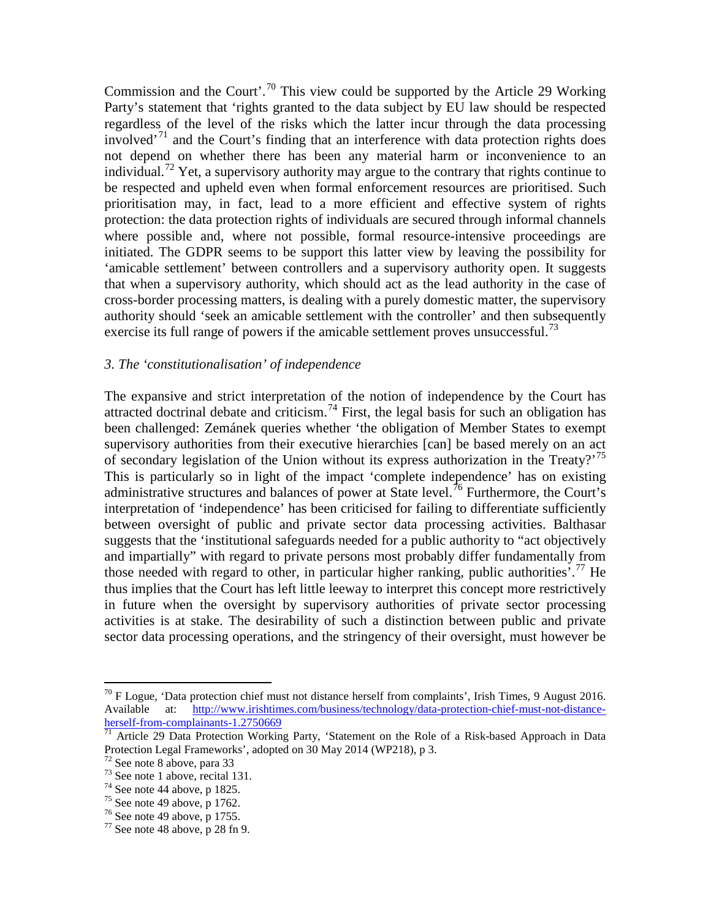Commission and the Court'.[70](#page-10-4) This view could be supported by the Article 29 Working Party's statement that 'rights granted to the data subject by EU law should be respected regardless of the level of the risks which the latter incur through the data processing involved<sup> $71$ </sup> and the Court's finding that an interference with data protection rights does not depend on whether there has been any material harm or inconvenience to an individual.<sup>[72](#page-11-1)</sup> Yet, a supervisory authority may argue to the contrary that rights continue to be respected and upheld even when formal enforcement resources are prioritised. Such prioritisation may, in fact, lead to a more efficient and effective system of rights protection: the data protection rights of individuals are secured through informal channels where possible and, where not possible, formal resource-intensive proceedings are initiated. The GDPR seems to be support this latter view by leaving the possibility for 'amicable settlement' between controllers and a supervisory authority open. It suggests that when a supervisory authority, which should act as the lead authority in the case of cross-border processing matters, is dealing with a purely domestic matter, the supervisory authority should 'seek an amicable settlement with the controller' and then subsequently exercise its full range of powers if the amicable settlement proves unsuccessful.<sup>[73](#page-11-2)</sup>

#### *3. The 'constitutionalisation' of independence*

The expansive and strict interpretation of the notion of independence by the Court has attracted doctrinal debate and criticism.<sup>[74](#page-11-3)</sup> First, the legal basis for such an obligation has been challenged: Zemánek queries whether 'the obligation of Member States to exempt supervisory authorities from their executive hierarchies [can] be based merely on an act of secondary legislation of the Union without its express authorization in the Treaty?<sup>[75](#page-11-4)</sup> This is particularly so in light of the impact 'complete independence' has on existing administrative structures and balances of power at State level.<sup>[76](#page-11-5)</sup> Furthermore, the Court's interpretation of 'independence' has been criticised for failing to differentiate sufficiently between oversight of public and private sector data processing activities. Balthasar suggests that the 'institutional safeguards needed for a public authority to "act objectively and impartially" with regard to private persons most probably differ fundamentally from those needed with regard to other, in particular higher ranking, public authorities'. [77](#page-11-6) He thus implies that the Court has left little leeway to interpret this concept more restrictively in future when the oversight by supervisory authorities of private sector processing activities is at stake. The desirability of such a distinction between public and private sector data processing operations, and the stringency of their oversight, must however be

 $70$  F Logue, 'Data protection chief must not distance herself from complaints', Irish Times, 9 August 2016. Available at: http://www.irishtimes.com/business/technology/data-protection-chief-must-not-distance-<br>herself-from-complainants-1.2750669

<span id="page-11-0"></span> $\frac{1}{71}$  Article 29 Data Protection Working Party, 'Statement on the Role of a Risk-based Approach in Data Protection Legal Frameworks', adopted on 30 May 2014 (WP218), p 3.<br><sup>72</sup> See note 8 above, para 33

<span id="page-11-3"></span><span id="page-11-2"></span><span id="page-11-1"></span><sup>&</sup>lt;sup>73</sup> See note 1 above, recital 131.<br><sup>74</sup> See note 44 above, p 1825.<br><sup>75</sup> See note 49 above, p 1762.<br><sup>76</sup> See note 49 above, p 1755.<br><sup>77</sup> See note 48 above, p 28 fn 9.

<span id="page-11-4"></span>

<span id="page-11-5"></span>

<span id="page-11-6"></span>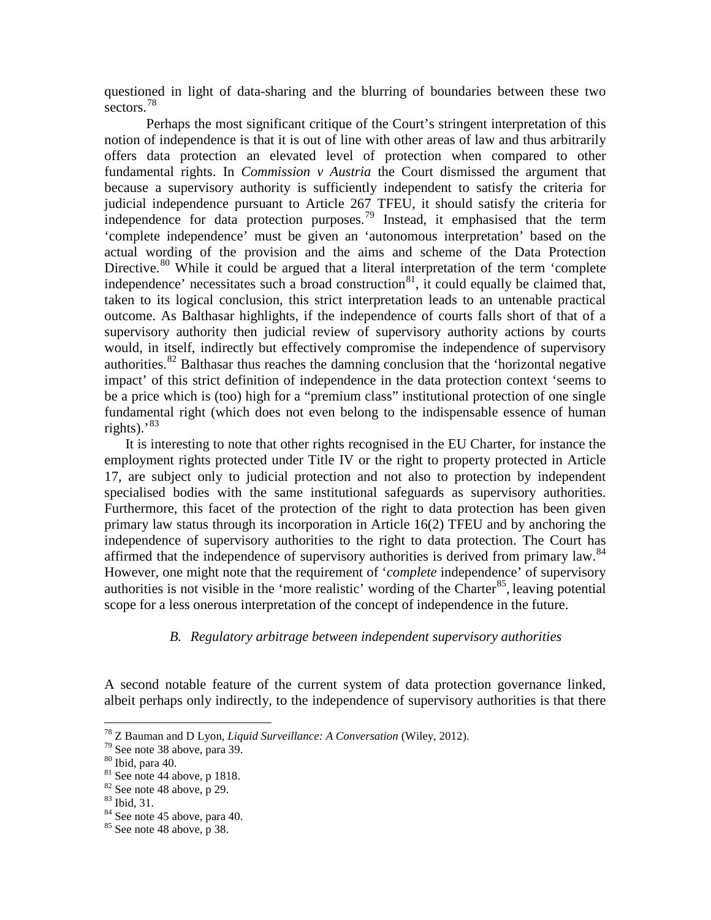questioned in light of data-sharing and the blurring of boundaries between these two sectors.<sup>[78](#page-11-0)</sup>

Perhaps the most significant critique of the Court's stringent interpretation of this notion of independence is that it is out of line with other areas of law and thus arbitrarily offers data protection an elevated level of protection when compared to other fundamental rights. In *Commission v Austria* the Court dismissed the argument that because a supervisory authority is sufficiently independent to satisfy the criteria for judicial independence pursuant to Article 267 TFEU, it should satisfy the criteria for independence for data protection purposes.<sup>[79](#page-12-0)</sup> Instead, it emphasised that the term 'complete independence' must be given an 'autonomous interpretation' based on the actual wording of the provision and the aims and scheme of the Data Protection Directive.<sup>[80](#page-12-1)</sup> While it could be argued that a literal interpretation of the term 'complete independence' necessitates such a broad construction<sup>81</sup>, it could equally be claimed that, taken to its logical conclusion, this strict interpretation leads to an untenable practical outcome. As Balthasar highlights, if the independence of courts falls short of that of a supervisory authority then judicial review of supervisory authority actions by courts would, in itself, indirectly but effectively compromise the independence of supervisory authorities.<sup>[82](#page-12-3)</sup> Balthasar thus reaches the damning conclusion that the 'horizontal negative impact' of this strict definition of independence in the data protection context 'seems to be a price which is (too) high for a "premium class" institutional protection of one single fundamental right (which does not even belong to the indispensable essence of human rights). $^{83}$  $^{83}$  $^{83}$ 

It is interesting to note that other rights recognised in the EU Charter, for instance the employment rights protected under Title IV or the right to property protected in Article 17, are subject only to judicial protection and not also to protection by independent specialised bodies with the same institutional safeguards as supervisory authorities. Furthermore, this facet of the protection of the right to data protection has been given primary law status through its incorporation in Article 16(2) TFEU and by anchoring the independence of supervisory authorities to the right to data protection. The Court has affirmed that the independence of supervisory authorities is derived from primary law.<sup>[84](#page-12-5)</sup> However, one might note that the requirement of '*complete* independence' of supervisory authorities is not visible in the 'more realistic' wording of the Charter<sup>[85](#page-12-6)</sup>, leaving potential scope for a less onerous interpretation of the concept of independence in the future.

#### *B. Regulatory arbitrage between independent supervisory authorities*

<span id="page-12-7"></span>A second notable feature of the current system of data protection governance linked, albeit perhaps only indirectly, to the independence of supervisory authorities is that there

<span id="page-12-0"></span><sup>&</sup>lt;sup>78</sup> Z Bauman and D Lyon, *Liquid Surveillance:* A Conversation (Wiley, 2012).<br>
<sup>79</sup> See note 38 above, para 39.<br>
<sup>80</sup> Ibid, para 40.<br>
<sup>81</sup> See note 44 above, p 1818.<br>
<sup>82</sup> See note 48 above, p 29.<br>
<sup>83</sup> Ibid, 31.<br>
<sup>84</sup> S

<span id="page-12-1"></span>

<span id="page-12-2"></span>

<span id="page-12-3"></span>

<span id="page-12-4"></span>

<span id="page-12-6"></span><span id="page-12-5"></span>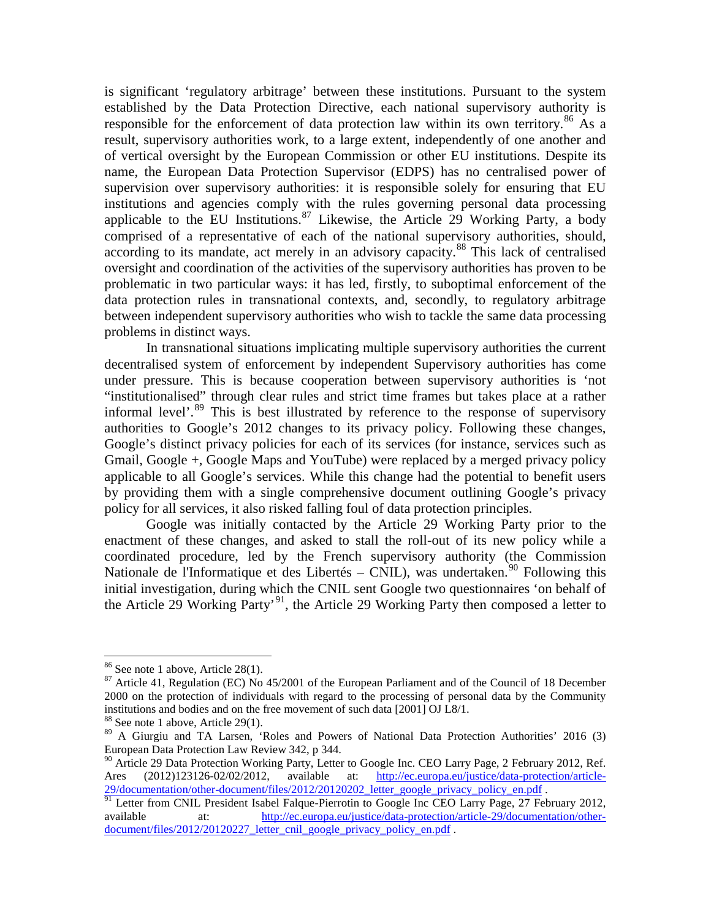is significant 'regulatory arbitrage' between these institutions. Pursuant to the system established by the Data Protection Directive, each national supervisory authority is responsible for the enforcement of data protection law within its own territory.<sup>[86](#page-12-7)</sup> As a result, supervisory authorities work, to a large extent, independently of one another and of vertical oversight by the European Commission or other EU institutions. Despite its name, the European Data Protection Supervisor (EDPS) has no centralised power of supervision over supervisory authorities: it is responsible solely for ensuring that EU institutions and agencies comply with the rules governing personal data processing applicable to the EU Institutions.<sup>[87](#page-13-0)</sup> Likewise, the Article 29 Working Party, a body comprised of a representative of each of the national supervisory authorities, should, according to its mandate, act merely in an advisory capacity.<sup>[88](#page-13-1)</sup> This lack of centralised oversight and coordination of the activities of the supervisory authorities has proven to be problematic in two particular ways: it has led, firstly, to suboptimal enforcement of the data protection rules in transnational contexts, and, secondly, to regulatory arbitrage between independent supervisory authorities who wish to tackle the same data processing problems in distinct ways.

In transnational situations implicating multiple supervisory authorities the current decentralised system of enforcement by independent Supervisory authorities has come under pressure. This is because cooperation between supervisory authorities is 'not "institutionalised" through clear rules and strict time frames but takes place at a rather informal level'.<sup>[89](#page-13-2)</sup> This is best illustrated by reference to the response of supervisory authorities to Google's 2012 changes to its privacy policy. Following these changes, Google's distinct privacy policies for each of its services (for instance, services such as Gmail, Google +, Google Maps and YouTube) were replaced by a merged privacy policy applicable to all Google's services. While this change had the potential to benefit users by providing them with a single comprehensive document outlining Google's privacy policy for all services, it also risked falling foul of data protection principles.

<span id="page-13-5"></span>Google was initially contacted by the Article 29 Working Party prior to the enactment of these changes, and asked to stall the roll-out of its new policy while a coordinated procedure, led by the French supervisory authority (the Commission Nationale de l'Informatique et des Libertés – CNIL), was undertaken.<sup>[90](#page-13-3)</sup> Following this initial investigation, during which the CNIL sent Google two questionnaires 'on behalf of the Article 29 Working Party'<sup>91</sup>, the Article 29 Working Party then composed a letter to

<span id="page-13-0"></span><sup>&</sup>lt;sup>86</sup> See note 1 above, Article 28(1).<br><sup>87</sup> Article 41, Regulation (EC) No 45/2001 of the European Parliament and of the Council of 18 December 2000 on the protection of individuals with regard to the processing of personal data by the Community institutions and bodies and on the free movement of such data [2001] OJ L8/1.

<span id="page-13-1"></span><sup>88</sup> See note 1 above, Article 29(1).

<span id="page-13-2"></span><sup>89</sup> A Giurgiu and TA Larsen, 'Roles and Powers of National Data Protection Authorities' 2016 (3) European Data Protection Law Review 342, p 344.

<span id="page-13-3"></span><sup>&</sup>lt;sup>90</sup> Article 29 Data Protection Working Party, Letter to Google Inc. CEO Larry Page, 2 February 2012, Ref.<br>Ares (2012)123126-02/02/2012, available at: http://ec.europa.eu/justice/data-protection/article-Ares (2012)123126-02/02/2012, available at: http://ec.europa.eu/justice/data-protection/article-<br>29/documentation/other-document/files/2012/20120202\_letter\_google\_privacy\_policy\_en.pdf

<span id="page-13-4"></span> $\frac{29}{91}$  $\frac{29}{91}$  $\frac{29}{91}$  Letter from CNIL President Isabel Falque-Pierrotin to Google Inc CEO Larry Page, 27 February 2012, available at: [http://ec.europa.eu/justice/data-protection/article-29/documentation/other](http://ec.europa.eu/justice/data-protection/article-29/documentation/other-document/files/2012/20120227_letter_cnil_google_privacy_policy_en.pdf)[document/files/2012/20120227\\_letter\\_cnil\\_google\\_privacy\\_policy\\_en.pdf](http://ec.europa.eu/justice/data-protection/article-29/documentation/other-document/files/2012/20120227_letter_cnil_google_privacy_policy_en.pdf) .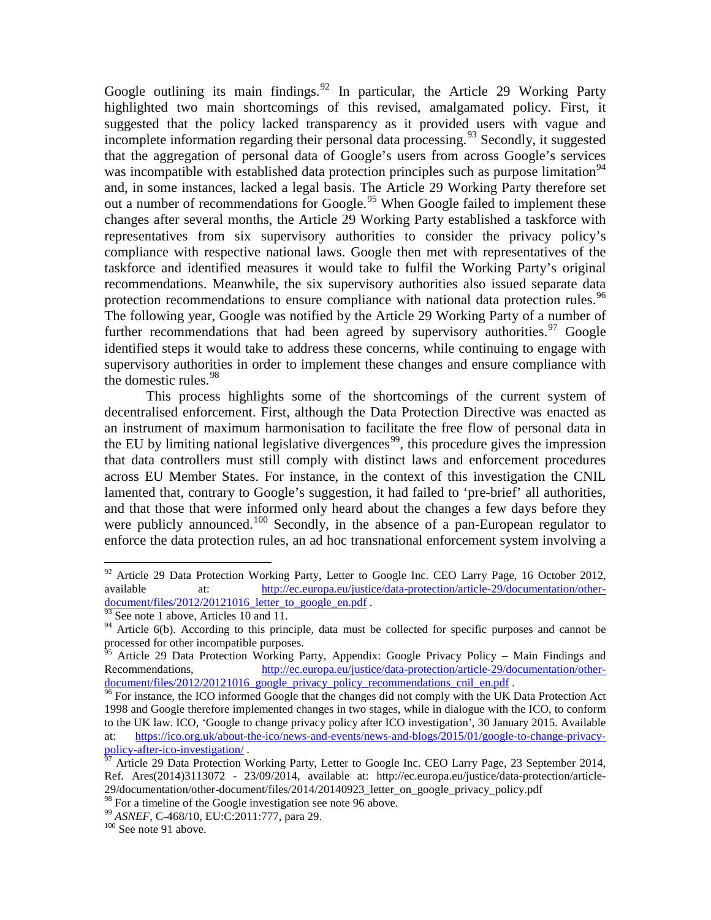Google outlining its main findings.<sup>[92](#page-13-5)</sup> In particular, the Article 29 Working Party highlighted two main shortcomings of this revised, amalgamated policy. First, it suggested that the policy lacked transparency as it provided users with vague and incomplete information regarding their personal data processing.<sup>[93](#page-14-0)</sup> Secondly, it suggested that the aggregation of personal data of Google's users from across Google's services was incompatible with established data protection principles such as purpose limitation<sup>[94](#page-14-1)</sup> and, in some instances, lacked a legal basis. The Article 29 Working Party therefore set out a number of recommendations for Google.<sup>[95](#page-14-2)</sup> When Google failed to implement these changes after several months, the Article 29 Working Party established a taskforce with representatives from six supervisory authorities to consider the privacy policy's compliance with respective national laws. Google then met with representatives of the taskforce and identified measures it would take to fulfil the Working Party's original recommendations. Meanwhile, the six supervisory authorities also issued separate data protection recommendations to ensure compliance with national data protection rules.<sup>[96](#page-14-3)</sup> The following year, Google was notified by the Article 29 Working Party of a number of further recommendations that had been agreed by supervisory authorities.<sup>[97](#page-14-4)</sup> Google identified steps it would take to address these concerns, while continuing to engage with supervisory authorities in order to implement these changes and ensure compliance with the domestic rules. [98](#page-14-5)

This process highlights some of the shortcomings of the current system of decentralised enforcement. First, although the Data Protection Directive was enacted as an instrument of maximum harmonisation to facilitate the free flow of personal data in the EU by limiting national legislative divergences<sup>99</sup>, this procedure gives the impression that data controllers must still comply with distinct laws and enforcement procedures across EU Member States. For instance, in the context of this investigation the CNIL lamented that, contrary to Google's suggestion, it had failed to 'pre-brief' all authorities, and that those that were informed only heard about the changes a few days before they were publicly announced.<sup>[100](#page-14-7)</sup> Secondly, in the absence of a pan-European regulator to enforce the data protection rules, an ad hoc transnational enforcement system involving a

 $92$  Article 29 Data Protection Working Party, Letter to Google Inc. CEO Larry Page, 16 October 2012, available at: [http://ec.europa.eu/justice/data-protection/article-29/documentation/other-](http://ec.europa.eu/justice/data-protection/article-29/documentation/other-document/files/2012/20121016_letter_to_google_en.pdf)document/files/2012/20121016\_letter\_to\_google\_en.pdf .<br><sup>[93](http://ec.europa.eu/justice/data-protection/article-29/documentation/other-document/files/2012/20121016_letter_to_google_en.pdf)</sup> See note 1 above, Articles 10 and 11.

<span id="page-14-1"></span><span id="page-14-0"></span><sup>&</sup>lt;sup>94</sup> Article 6(b). According to this principle, data must be collected for specific purposes and cannot be processed for other incompatible purposes.

<span id="page-14-2"></span><sup>&</sup>lt;sup>95</sup> Article 29 Data Protection Working Party, Appendix: Google Privacy Policy – Main Findings and Recommendations, [http://ec.europa.eu/justice/data-protection/article-29/documentation/other-](http://ec.europa.eu/justice/data-protection/article-29/documentation/other-document/files/2012/20121016_google_privacy_policy_recommendations_cnil_en.pdf)document/files/2012/20121016\_google\_privacy\_policy\_recommendations\_cnil\_en[.](http://ec.europa.eu/justice/data-protection/article-29/documentation/other-document/files/2012/20121016_google_privacy_policy_recommendations_cnil_en.pdf)pdf .<br><sup>[96](http://ec.europa.eu/justice/data-protection/article-29/documentation/other-document/files/2012/20121016_google_privacy_policy_recommendations_cnil_en.pdf)</sup> For instance, the ICO informed Google that the changes did not comply with the UK Data Protection Act

<span id="page-14-8"></span><span id="page-14-3"></span><sup>1998</sup> and Google therefore implemented changes in two stages, while in dialogue with the ICO, to conform to the UK law. ICO, 'Google to change privacy policy after ICO investigation', 30 January 2015. Available at: https://ico.org.uk/about-the-ico/news-and-events/news-and-blogs/2015/01/google-to-change-privacy-<br>policy-after-ico-investigation/<br> $\frac{97}{2}$  Article 20 Determined

<span id="page-14-4"></span>Article 29 Data Protection Working Party, Letter to Google Inc. CEO Larry Page, 23 September 2014, Ref. Ares(2014)3113072 - 23/09/2014, available at: http://ec.europa.eu/justice/data-protection/article-29/documentation/other-document/files/2014/20140923\_letter\_on\_google\_privacy\_policy.pdf

<span id="page-14-6"></span><span id="page-14-5"></span><sup>&</sup>lt;sup>98</sup> For a timeline of the Google investigation see note 96 above.<br><sup>99</sup> *ASNEF*, C-468/10, EU:C:2011:777, para 29. <sup>100</sup> See note 91 above.

<span id="page-14-7"></span>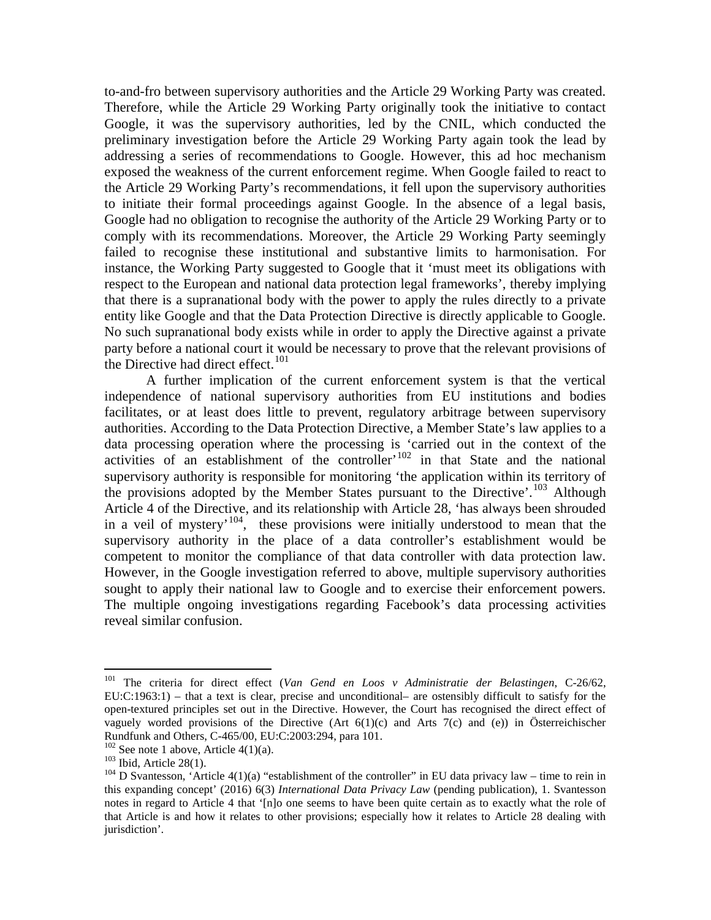to-and-fro between supervisory authorities and the Article 29 Working Party was created. Therefore, while the Article 29 Working Party originally took the initiative to contact Google, it was the supervisory authorities, led by the [CNIL,](http://www.cnil.fr/) which conducted the preliminary investigation before the Article 29 Working Party again took the lead by addressing a series of recommendations to Google. However, this ad hoc mechanism exposed the weakness of the current enforcement regime. When Google failed to react to the Article 29 Working Party's recommendations, it fell upon the supervisory authorities to initiate their formal proceedings against Google. In the absence of a legal basis, Google had no obligation to recognise the authority of the Article 29 Working Party or to comply with its recommendations. Moreover, the Article 29 Working Party seemingly failed to recognise these institutional and substantive limits to harmonisation. For instance, the Working Party suggested to Google that it 'must meet its obligations with respect to the European and national data protection legal frameworks', thereby implying that there is a supranational body with the power to apply the rules directly to a private entity like Google and that the Data Protection Directive is directly applicable to Google. No such supranational body exists while in order to apply the Directive against a private party before a national court it would be necessary to prove that the relevant provisions of the Directive had direct effect.<sup>[101](#page-14-8)</sup>

A further implication of the current enforcement system is that the vertical independence of national supervisory authorities from EU institutions and bodies facilitates, or at least does little to prevent, regulatory arbitrage between supervisory authorities. According to the Data Protection Directive, a Member State's law applies to a data processing operation where the processing is 'carried out in the context of the activities of an establishment of the controller'[102](#page-15-0) in that State and the national supervisory authority is responsible for monitoring 'the application within its territory of the provisions adopted by the Member States pursuant to the Directive'.[103](#page-15-1) Although Article 4 of the Directive, and its relationship with Article 28, 'has always been shrouded in a veil of mystery<sup> $104$ </sup>, these provisions were initially understood to mean that the supervisory authority in the place of a data controller's establishment would be competent to monitor the compliance of that data controller with data protection law. However, in the Google investigation referred to above, multiple supervisory authorities sought to apply their national law to Google and to exercise their enforcement powers. The multiple ongoing investigations regarding Facebook's data processing activities reveal similar confusion.

<span id="page-15-3"></span><sup>101</sup> The criteria for direct effect (*Van Gend en Loos v Administratie der Belastingen*, C-26/62,  $EU:C:1963:1$  – that a text is clear, precise and unconditional– are ostensibly difficult to satisfy for the open-textured principles set out in the Directive. However, the Court has recognised the direct effect of vaguely worded provisions of the Directive (Art  $6(1)(c)$  and Arts 7(c) and (e)) in Österreichischer Rundfunk and Others, C-465/00, EU:C:2003:294, para 101.

<span id="page-15-2"></span>

<span id="page-15-1"></span><span id="page-15-0"></span><sup>&</sup>lt;sup>102</sup> See note 1 above, Article 4(1)(a).<br><sup>103</sup> Ibid, Article 28(1).<br><sup>104</sup> D Svantesson, 'Article 4(1)(a) "establishment of the controller" in EU data privacy law – time to rein in this expanding concept' (2016) 6(3) *International Data Privacy Law* (pending publication), 1. Svantesson notes in regard to Article 4 that '[n]o one seems to have been quite certain as to exactly what the role of that Article is and how it relates to other provisions; especially how it relates to Article 28 dealing with jurisdiction'.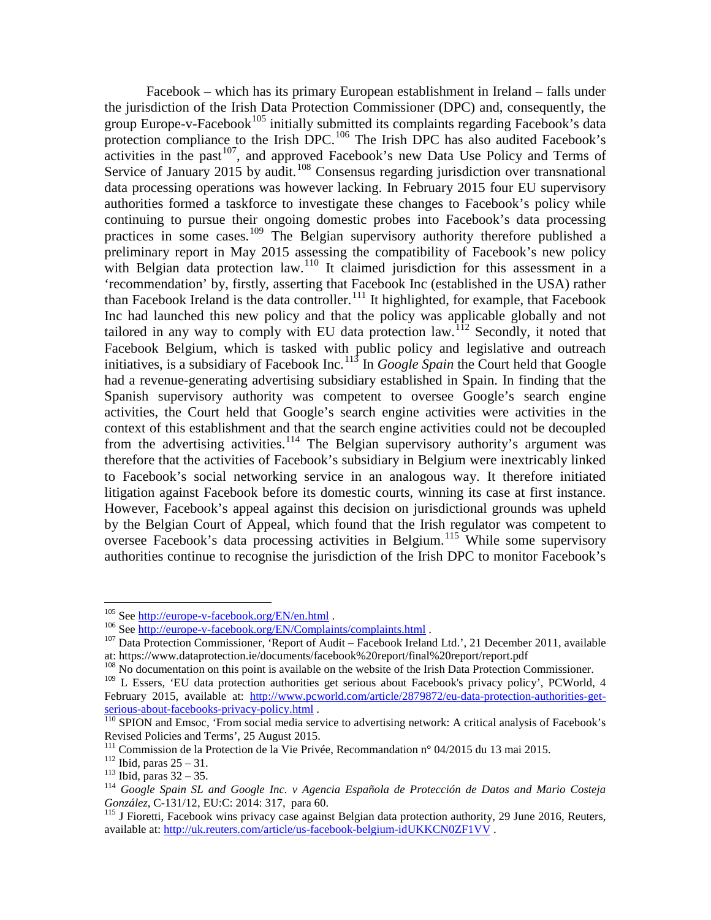Facebook – which has its primary European establishment in Ireland – falls under the jurisdiction of the Irish Data Protection Commissioner (DPC) and, consequently, the group Europe-v-Facebook<sup>[105](#page-15-3)</sup> initially submitted its complaints regarding Facebook's data protection compliance to the Irish DPC.<sup>[106](#page-16-0)</sup> The Irish DPC has also audited Facebook's activities in the past  $107$ , and approved Facebook's new Data Use Policy and Terms of Service of January 2015 by audit.<sup>[108](#page-16-2)</sup> Consensus regarding jurisdiction over transnational data processing operations was however lacking. In February 2015 four EU supervisory authorities formed a taskforce to investigate these changes to Facebook's policy while continuing to pursue their ongoing domestic probes into Facebook's data processing practices in some cases.<sup>[109](#page-16-3)</sup> The Belgian supervisory authority therefore published a preliminary report in May 2015 assessing the compatibility of Facebook's new policy with Belgian data protection law.<sup>[110](#page-16-4)</sup> It claimed jurisdiction for this assessment in a 'recommendation' by, firstly, asserting that Facebook Inc (established in the USA) rather than Facebook Ireland is the data controller. $111$  It highlighted, for example, that Facebook Inc had launched this new policy and that the policy was applicable globally and not tailored in any way to comply with EU data protection law.<sup>[112](#page-16-6)</sup> Secondly, it noted that Facebook Belgium, which is tasked with public policy and legislative and outreach initiatives, is a subsidiary of Facebook Inc.[113](#page-16-7) In *Google Spain* the Court held that Google had a revenue-generating advertising subsidiary established in Spain. In finding that the Spanish supervisory authority was competent to oversee Google's search engine activities, the Court held that Google's search engine activities were activities in the context of this establishment and that the search engine activities could not be decoupled from the advertising activities.<sup>[114](#page-16-8)</sup> The Belgian supervisory authority's argument was therefore that the activities of Facebook's subsidiary in Belgium were inextricably linked to Facebook's social networking service in an analogous way. It therefore initiated litigation against Facebook before its domestic courts, winning its case at first instance. However, Facebook's appeal against this decision on jurisdictional grounds was upheld by the Belgian Court of Appeal, which found that the Irish regulator was competent to oversee Facebook's data processing activities in Belgium.<sup>[115](#page-16-9)</sup> While some supervisory authorities continue to recognise the jurisdiction of the Irish DPC to monitor Facebook's

<span id="page-16-1"></span>

<span id="page-16-0"></span><sup>&</sup>lt;sup>105</sup> See <u>http://europe-v-facebook[.](http://europe-v-facebook.org/EN/en.html)org/EN/en.html</u> .<br><sup>106</sup> See <u>http://europe-v-facebook.org/EN/Complaints/complaints.html</u> .<br><sup>107</sup> Data Protection Commissioner, 'Report of Audit – Facebook Ireland Ltd.', 21 December 2011 at: https://www.dataprotection.ie/documents/facebook%20report/final%20report/report.pdf

<span id="page-16-2"></span><sup>&</sup>lt;sup>108</sup> No documentation on this point is available on the website of the Irish Data Protection Commissioner.

<span id="page-16-3"></span><sup>&</sup>lt;sup>109</sup> L Essers, 'EU data protection authorities get serious about Facebook's privacy policy', PCWorld, 4 February 2015, available at: [http://www.pcworld.com/article/2879872/eu-data-protection-authorities-get-](http://www.pcworld.com/article/2879872/eu-data-protection-authorities-get-serious-about-facebooks-privacy-policy.html)serious-about-facebooks-privacy-policy.html .<br><sup>[110](http://www.pcworld.com/article/2879872/eu-data-protection-authorities-get-serious-about-facebooks-privacy-policy.html)</sup> SPION and Emsoc, 'From social media service to advertising network: A critical analysis of Facebook's

<span id="page-16-4"></span>Revised Policies and Terms', 25 August 2015.<br><sup>111</sup> Commission de la Protection de la Vie Privée, Recommandation n° 04/2015 du 13 mai 2015.

<span id="page-16-8"></span>

<span id="page-16-7"></span><span id="page-16-6"></span><span id="page-16-5"></span><sup>&</sup>lt;sup>112</sup> Ibid, paras 25 – 31.<br><sup>113</sup> Ibid, paras 32 – 35.<br><sup>114</sup> Google Spain SL and Google Inc. v Agencia Española de Protección de Datos and Mario Costeja<br>González, C-131/12, EU:C: 2014: 317, para 60.

<span id="page-16-9"></span><sup>&</sup>lt;sup>115</sup> J Fioretti, Facebook wins privacy case against Belgian data protection authority, 29 June 2016, Reuters, available at:<http://uk.reuters.com/article/us-facebook-belgium-idUKKCN0ZF1VV> .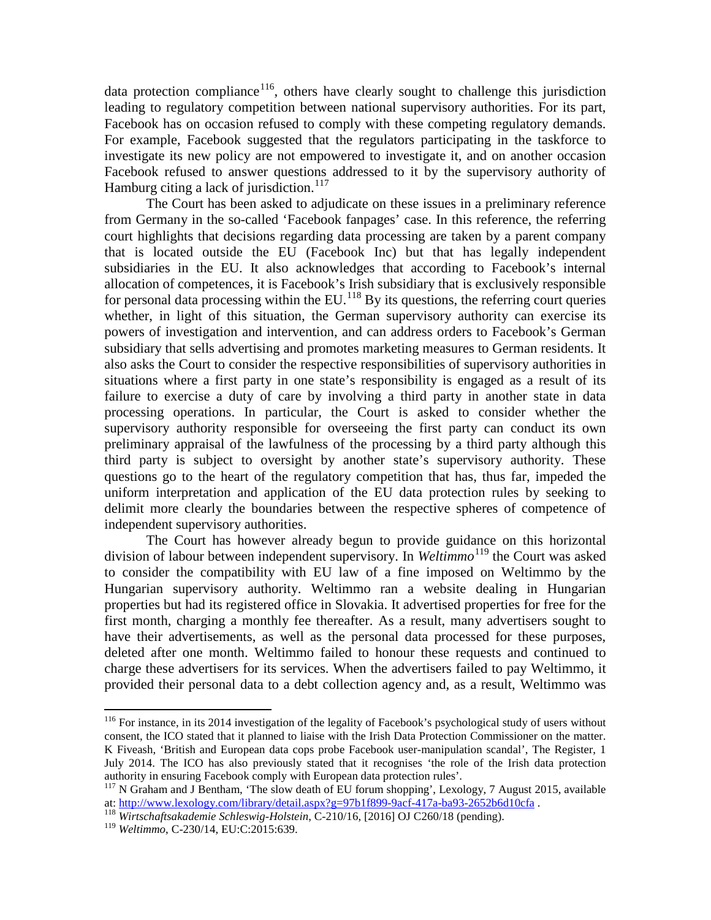data protection compliance<sup>[116](#page-16-4)</sup>, others have clearly sought to challenge this jurisdiction leading to regulatory competition between national supervisory authorities. For its part, Facebook has on occasion refused to comply with these competing regulatory demands. For example, Facebook suggested that the regulators participating in the taskforce to investigate its new policy are not empowered to investigate it, and on another occasion Facebook refused to answer questions addressed to it by the supervisory authority of Hamburg citing a lack of jurisdiction.<sup>[117](#page-17-0)</sup>

The Court has been asked to adjudicate on these issues in a preliminary reference from Germany in the so-called 'Facebook fanpages' case. In this reference, the referring court highlights that decisions regarding data processing are taken by a parent company that is located outside the EU (Facebook Inc) but that has legally independent subsidiaries in the EU. It also acknowledges that according to Facebook's internal allocation of competences, it is Facebook's Irish subsidiary that is exclusively responsible for personal data processing within the EU. $^{118}$  $^{118}$  $^{118}$  By its questions, the referring court queries whether, in light of this situation, the German supervisory authority can exercise its powers of investigation and intervention, and can address orders to Facebook's German subsidiary that sells advertising and promotes marketing measures to German residents. It also asks the Court to consider the respective responsibilities of supervisory authorities in situations where a first party in one state's responsibility is engaged as a result of its failure to exercise a duty of care by involving a third party in another state in data processing operations. In particular, the Court is asked to consider whether the supervisory authority responsible for overseeing the first party can conduct its own preliminary appraisal of the lawfulness of the processing by a third party although this third party is subject to oversight by another state's supervisory authority. These questions go to the heart of the regulatory competition that has, thus far, impeded the uniform interpretation and application of the EU data protection rules by seeking to delimit more clearly the boundaries between the respective spheres of competence of independent supervisory authorities.

The Court has however already begun to provide guidance on this horizontal division of labour between independent supervisory. In *Weltimmo*<sup>[119](#page-17-2)</sup> the Court was asked to consider the compatibility with EU law of a fine imposed on Weltimmo by the Hungarian supervisory authority. Weltimmo ran a website dealing in Hungarian properties but had its registered office in Slovakia. It advertised properties for free for the first month, charging a monthly fee thereafter. As a result, many advertisers sought to have their advertisements, as well as the personal data processed for these purposes, deleted after one month. Weltimmo failed to honour these requests and continued to charge these advertisers for its services. When the advertisers failed to pay Weltimmo, it provided their personal data to a debt collection agency and, as a result, Weltimmo was

<span id="page-17-3"></span><sup>&</sup>lt;sup>116</sup> For instance, in its 2014 investigation of the legality of Facebook's psychological study of users without consent, the ICO stated that it planned to liaise with the Irish Data Protection Commissioner on the matter. K Fiveash, 'British and European data cops probe Facebook user-manipulation scandal', The Register, 1 July 2014. The ICO has also previously stated that it recognises 'the role of the Irish data protection

<span id="page-17-0"></span>authority in ensuring Facebook comply with European data protection rules'.<br><sup>117</sup> N Graham and J Bentham, 'The slow death of EU forum shopping', Lexology, 7 August 2015, available at: http://www.lexology.com/library/detail

<sup>&</sup>lt;sup>118</sup> Wirtschaftsakademie Schleswig-Holstein, C-210/16, [2016] OJ C260/18 (pending)[.](http://www.lexology.com/library/detail.aspx?g=97b1f899-9acf-417a-ba93-2652b6d10cfa)

<span id="page-17-2"></span><span id="page-17-1"></span><sup>119</sup> *Weltimmo*, C-230/14, EU:C:2015:639.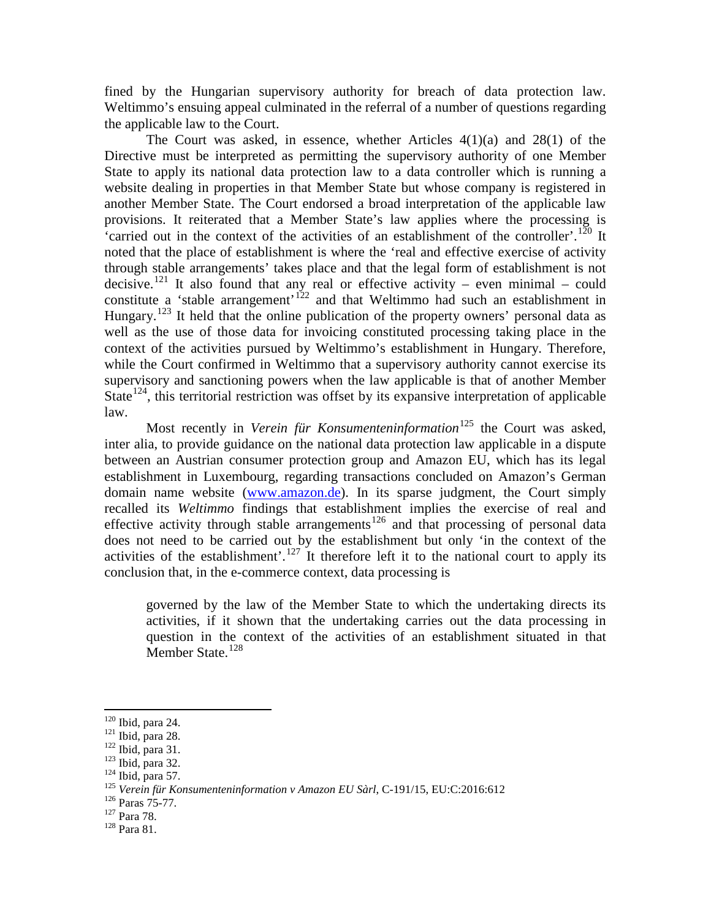fined by the Hungarian supervisory authority for breach of data protection law. Weltimmo's ensuing appeal culminated in the referral of a number of questions regarding the applicable law to the Court.

The Court was asked, in essence, whether Articles  $4(1)(a)$  and  $28(1)$  of the Directive must be interpreted as permitting the supervisory authority of one Member State to apply its national data protection law to a data controller which is running a website dealing in properties in that Member State but whose company is registered in another Member State. The Court endorsed a broad interpretation of the applicable law provisions. It reiterated that a Member State's law applies where the processing is 'carried out in the context of the activities of an establishment of the controller'.<sup>[120](#page-17-3)</sup> It noted that the place of establishment is where the 'real and effective exercise of activity through stable arrangements' takes place and that the legal form of establishment is not decisive.<sup>[121](#page-18-0)</sup> It also found that any real or effective activity – even minimal – could constitute a 'stable arrangement'<sup>[122](#page-18-1)</sup> and that Weltimmo had such an establishment in Hungary.<sup>[123](#page-18-2)</sup> It held that the online publication of the property owners' personal data as well as the use of those data for invoicing constituted processing taking place in the context of the activities pursued by Weltimmo's establishment in Hungary. Therefore, while the Court confirmed in Weltimmo that a supervisory authority cannot exercise its supervisory and sanctioning powers when the law applicable is that of another Member State<sup>124</sup>, this territorial restriction was offset by its expansive interpretation of applicable law.

Most recently in *Verein für Konsumenteninformation*<sup>[125](#page-18-4)</sup> the Court was asked, inter alia, to provide guidance on the national data protection law applicable in a dispute between an Austrian consumer protection group and Amazon EU, which has its legal establishment in Luxembourg, regarding transactions concluded on Amazon's German domain name website [\(www.amazon.de\)](http://www.amazon.de/). In its sparse judgment, the Court simply recalled its *Weltimmo* findings that establishment implies the exercise of real and effective activity through stable arrangements<sup>[126](#page-18-5)</sup> and that processing of personal data does not need to be carried out by the establishment but only 'in the context of the activities of the establishment'.<sup>[127](#page-18-6)</sup> It therefore left it to the national court to apply its conclusion that, in the e-commerce context, data processing is

governed by the law of the Member State to which the undertaking directs its activities, if it shown that the undertaking carries out the data processing in question in the context of the activities of an establishment situated in that Member State.<sup>[128](#page-18-7)</sup>

<span id="page-18-1"></span>

<span id="page-18-2"></span>

<span id="page-18-4"></span><span id="page-18-3"></span>

<span id="page-18-0"></span><sup>1&</sup>lt;sup>20</sup> Ibid, para 24.<br><sup>122</sup> Ibid, para 28.<br><sup>122</sup> Ibid, para 31.<br><sup>123</sup> Ibid, para 32.<br><sup>124</sup> Ibid, para 57.<br><sup>125</sup> *Verein für Konsumenteninformation v Amazon EU Sàrl*, C-191/15, EU:C:2016:612<br><sup>126</sup> Paras 75-77.<br><sup>127</sup> Para 78.

<span id="page-18-5"></span>

<span id="page-18-7"></span><span id="page-18-6"></span>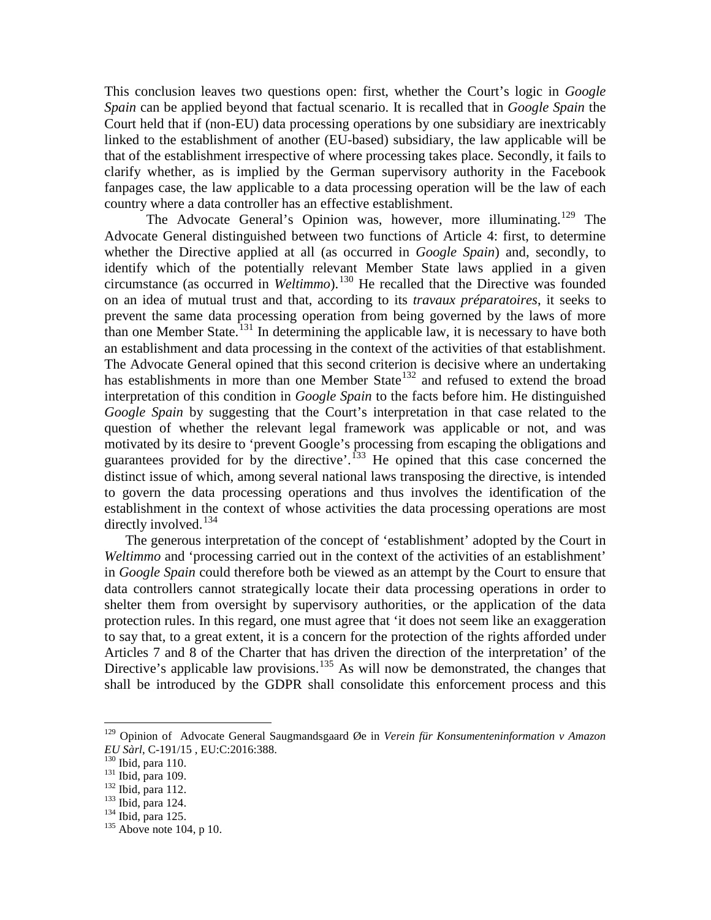This conclusion leaves two questions open: first, whether the Court's logic in *Google Spain* can be applied beyond that factual scenario. It is recalled that in *Google Spain* the Court held that if (non-EU) data processing operations by one subsidiary are inextricably linked to the establishment of another (EU-based) subsidiary, the law applicable will be that of the establishment irrespective of where processing takes place. Secondly, it fails to clarify whether, as is implied by the German supervisory authority in the Facebook fanpages case, the law applicable to a data processing operation will be the law of each country where a data controller has an effective establishment.

The Advocate General's Opinion was, however, more illuminating.<sup>[129](#page-18-0)</sup> The Advocate General distinguished between two functions of Article 4: first, to determine whether the Directive applied at all (as occurred in *Google Spain*) and, secondly, to identify which of the potentially relevant Member State laws applied in a given circumstance (as occurred in *Weltimmo*).[130](#page-19-0) He recalled that the Directive was founded on an idea of mutual trust and that, according to its *travaux préparatoires*, it seeks to prevent the same data processing operation from being governed by the laws of more than one Member State.<sup>[131](#page-19-1)</sup> In determining the applicable law, it is necessary to have both an establishment and data processing in the context of the activities of that establishment. The Advocate General opined that this second criterion is decisive where an undertaking has establishments in more than one Member State<sup>[132](#page-19-2)</sup> and refused to extend the broad interpretation of this condition in *Google Spain* to the facts before him. He distinguished *Google Spain* by suggesting that the Court's interpretation in that case related to the question of whether the relevant legal framework was applicable or not, and was motivated by its desire to 'prevent Google's processing from escaping the obligations and guarantees provided for by the directive'.<sup> $133$ </sup> He opined that this case concerned the distinct issue of which, among several national laws transposing the directive, is intended to govern the data processing operations and thus involves the identification of the establishment in the context of whose activities the data processing operations are most directly involved.<sup>[134](#page-19-4)</sup>

The generous interpretation of the concept of 'establishment' adopted by the Court in *Weltimmo* and 'processing carried out in the context of the activities of an establishment' in *Google Spain* could therefore both be viewed as an attempt by the Court to ensure that data controllers cannot strategically locate their data processing operations in order to shelter them from oversight by supervisory authorities, or the application of the data protection rules. In this regard, one must agree that 'it does not seem like an exaggeration to say that, to a great extent, it is a concern for the protection of the rights afforded under Articles 7 and 8 of the Charter that has driven the direction of the interpretation' of the Directive's applicable law provisions.<sup>[135](#page-19-5)</sup> As will now be demonstrated, the changes that shall be introduced by the GDPR shall consolidate this enforcement process and this

<span id="page-19-6"></span><sup>129</sup> Opinion of Advocate General Saugmandsgaard Øe in *Verein für Konsumenteninformation v Amazon EU Sàrl*, C-191/15 , EU:C:2016:388.<br><sup>130</sup> Ibid, para 110.<br><sup>131</sup> Ibid, para 109.<br><sup>132</sup> Ibid, para 112.<br><sup>133</sup> Ibid, para 124.<br><sup>134</sup> Ibid, para 125.<br><sup>135</sup> Above note 104, p 10.

<span id="page-19-0"></span>

<span id="page-19-1"></span>

<span id="page-19-2"></span>

<span id="page-19-3"></span>

<span id="page-19-4"></span>

<span id="page-19-5"></span>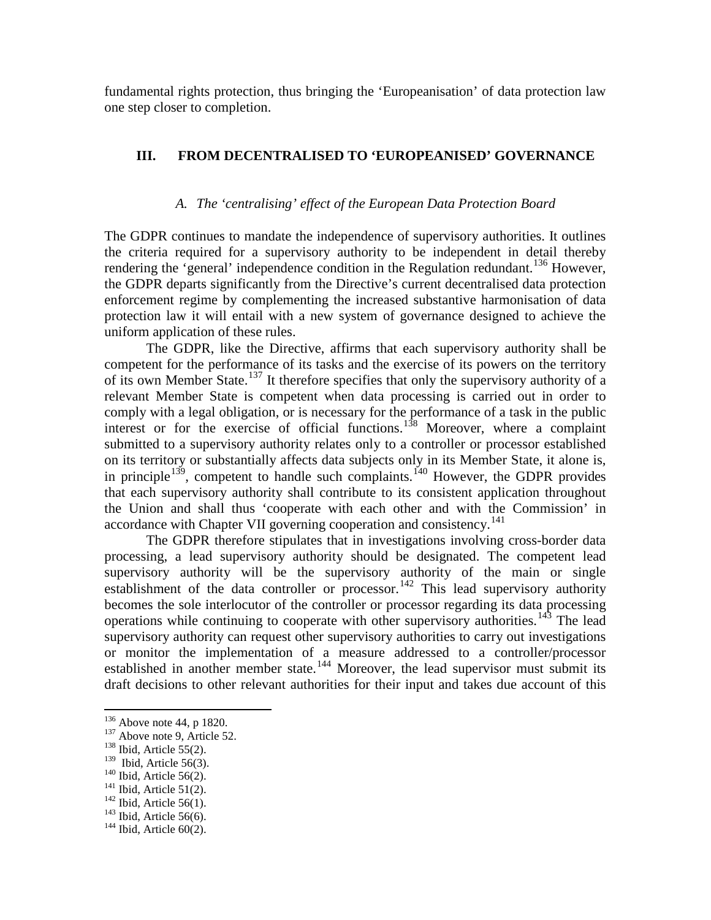fundamental rights protection, thus bringing the 'Europeanisation' of data protection law one step closer to completion.

#### **III. FROM DECENTRALISED TO 'EUROPEANISED' GOVERNANCE**

#### *A. The 'centralising' effect of the European Data Protection Board*

The GDPR continues to mandate the independence of supervisory authorities. It outlines the criteria required for a supervisory authority to be independent in detail thereby rendering the 'general' independence condition in the Regulation redundant.<sup>[136](#page-19-6)</sup> However, the GDPR departs significantly from the Directive's current decentralised data protection enforcement regime by complementing the increased substantive harmonisation of data protection law it will entail with a new system of governance designed to achieve the uniform application of these rules.

The GDPR, like the Directive, affirms that each supervisory authority shall be competent for the performance of its tasks and the exercise of its powers on the territory of its own Member State.<sup>[137](#page-20-0)</sup> It therefore specifies that only the supervisory authority of a relevant Member State is competent when data processing is carried out in order to comply with a legal obligation, or is necessary for the performance of a task in the public interest or for the exercise of official functions.<sup>[138](#page-20-1)</sup> Moreover, where a complaint submitted to a supervisory authority relates only to a controller or processor established on its territory or substantially affects data subjects only in its Member State, it alone is, in principle<sup>139</sup>, competent to handle such complaints.<sup>[140](#page-20-3)</sup> However, the GDPR provides that each supervisory authority shall contribute to its consistent application throughout the Union and shall thus 'cooperate with each other and with the Commission' in accordance with Chapter VII governing cooperation and consistency.<sup>[141](#page-20-4)</sup>

<span id="page-20-8"></span>The GDPR therefore stipulates that in investigations involving cross-border data processing, a lead supervisory authority should be designated. The competent lead supervisory authority will be the supervisory authority of the main or single establishment of the data controller or processor.<sup>[142](#page-20-5)</sup> This lead supervisory authority becomes the sole interlocutor of the controller or processor regarding its data processing operations while continuing to cooperate with other supervisory authorities.<sup>[143](#page-20-6)</sup> The lead supervisory authority can request other supervisory authorities to carry out investigations or monitor the implementation of a measure addressed to a controller/processor established in another member state.<sup>[144](#page-20-7)</sup> Moreover, the lead supervisor must submit its draft decisions to other relevant authorities for their input and takes due account of this

<span id="page-20-0"></span><sup>&</sup>lt;sup>136</sup> Above note 44, p 1820.<br><sup>137</sup> Above note 9, Article 52.<br><sup>138</sup> Ibid, Article 55(2).<br><sup>139</sup> Ibid, Article 56(3).

<span id="page-20-1"></span>

<span id="page-20-4"></span><span id="page-20-3"></span><span id="page-20-2"></span><sup>&</sup>lt;sup>140</sup> Ibid, Article 56(2).<br><sup>141</sup> Ibid, Article 51(2).<br><sup>142</sup> Ibid, Article 56(1).<br><sup>143</sup> Ibid, Article 56(6).<br><sup>144</sup> Ibid, Article 60(2).

<span id="page-20-6"></span><span id="page-20-5"></span>

<span id="page-20-7"></span>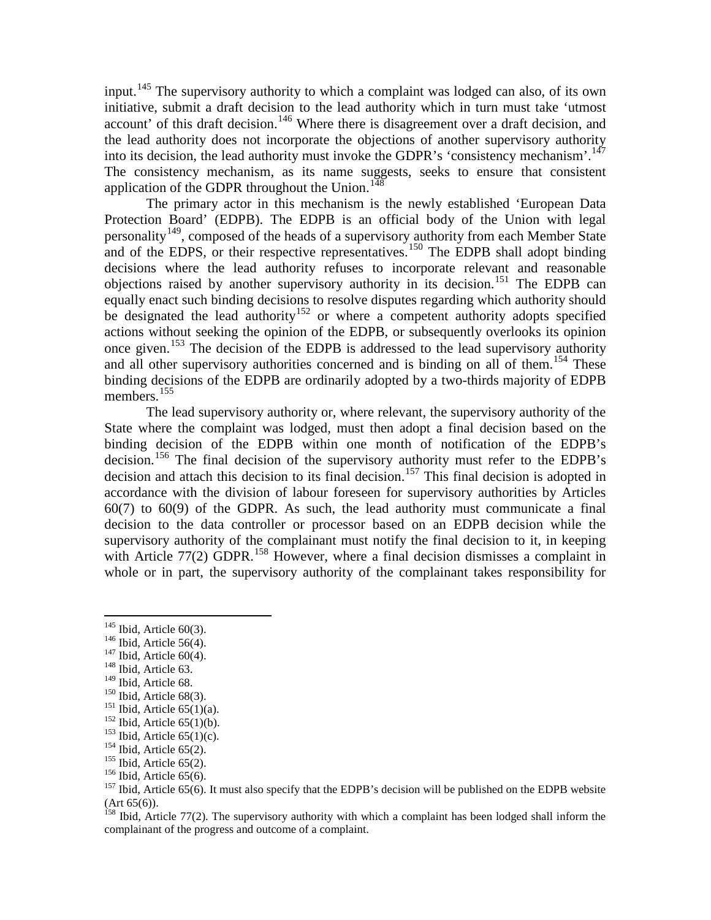input.<sup>[145](#page-20-8)</sup> The supervisory authority to which a complaint was lodged can also, of its own initiative, submit a draft decision to the lead authority which in turn must take 'utmost account' of this draft decision.<sup>[146](#page-21-0)</sup> Where there is disagreement over a draft decision, and the lead authority does not incorporate the objections of another supervisory authority into its decision, the lead authority must invoke the GDPR's 'consistency mechanism'.[147](#page-21-1) The consistency mechanism, as its name suggests, seeks to ensure that consistent application of the GDPR throughout the Union.<sup>[148](#page-21-2)</sup>

The primary actor in this mechanism is the newly established 'European Data Protection Board' (EDPB). The EDPB is an official body of the Union with legal personality<sup>[149](#page-21-3)</sup>, composed of the heads of a supervisory authority from each Member State and of the EDPS, or their respective representatives.<sup>[150](#page-21-4)</sup> The EDPB shall adopt binding decisions where the lead authority refuses to incorporate relevant and reasonable objections raised by another supervisory authority in its decision. [151](#page-21-5) The EDPB can equally enact such binding decisions to resolve disputes regarding which authority should be designated the lead authority<sup>[152](#page-21-6)</sup> or where a competent authority adopts specified actions without seeking the opinion of the EDPB, or subsequently overlooks its opinion once given.[153](#page-21-7) The decision of the EDPB is addressed to the lead supervisory authority and all other supervisory authorities concerned and is binding on all of them.<sup>[154](#page-21-8)</sup> These binding decisions of the EDPB are ordinarily adopted by a two-thirds majority of EDPB members.<sup>[155](#page-21-9)</sup>

The lead supervisory authority or, where relevant, the supervisory authority of the State where the complaint was lodged, must then adopt a final decision based on the binding decision of the EDPB within one month of notification of the EDPB's decision.<sup>[156](#page-21-10)</sup> The final decision of the supervisory authority must refer to the EDPB's decision and attach this decision to its final decision.<sup>[157](#page-21-11)</sup> This final decision is adopted in accordance with the division of labour foreseen for supervisory authorities by Articles 60(7) to 60(9) of the GDPR. As such, the lead authority must communicate a final decision to the data controller or processor based on an EDPB decision while the supervisory authority of the complainant must notify the final decision to it, in keeping with Article  $77(2)$  GDPR.<sup>[158](#page-21-12)</sup> However, where a final decision dismisses a complaint in whole or in part, the supervisory authority of the complainant takes responsibility for

- <span id="page-21-2"></span><span id="page-21-1"></span>
- 
- 

<span id="page-21-0"></span><sup>&</sup>lt;sup>145</sup> Ibid, Article 60(3).<br><sup>146</sup> Ibid, Article 56(4).<br><sup>147</sup> Ibid, Article 60(4).<br><sup>148</sup> Ibid, Article 63.<br><sup>149</sup> Ibid, Article 68.

<span id="page-21-6"></span>

<span id="page-21-7"></span>

<span id="page-21-8"></span>

<span id="page-21-9"></span>

<span id="page-21-11"></span><span id="page-21-10"></span>

<span id="page-21-5"></span><span id="page-21-4"></span><span id="page-21-3"></span><sup>&</sup>lt;sup>150</sup> Ibid, Article 65(3).<br>
<sup>151</sup> Ibid, Article 65(1)(a).<br>
<sup>152</sup> Ibid, Article 65(1)(b).<br>
<sup>153</sup> Ibid, Article 65(1)(c).<br>
<sup>154</sup> Ibid, Article 65(2).<br>
<sup>154</sup> Ibid, Article 65(2).<br>
<sup>156</sup> Ibid, Article 65(6).<br>
<sup>156</sup> Ibid, Arti  $(Art 65(6)).$ 

<span id="page-21-12"></span> $158$  Ibid, Article 77(2). The supervisory authority with which a complaint has been lodged shall inform the complainant of the progress and outcome of a complaint.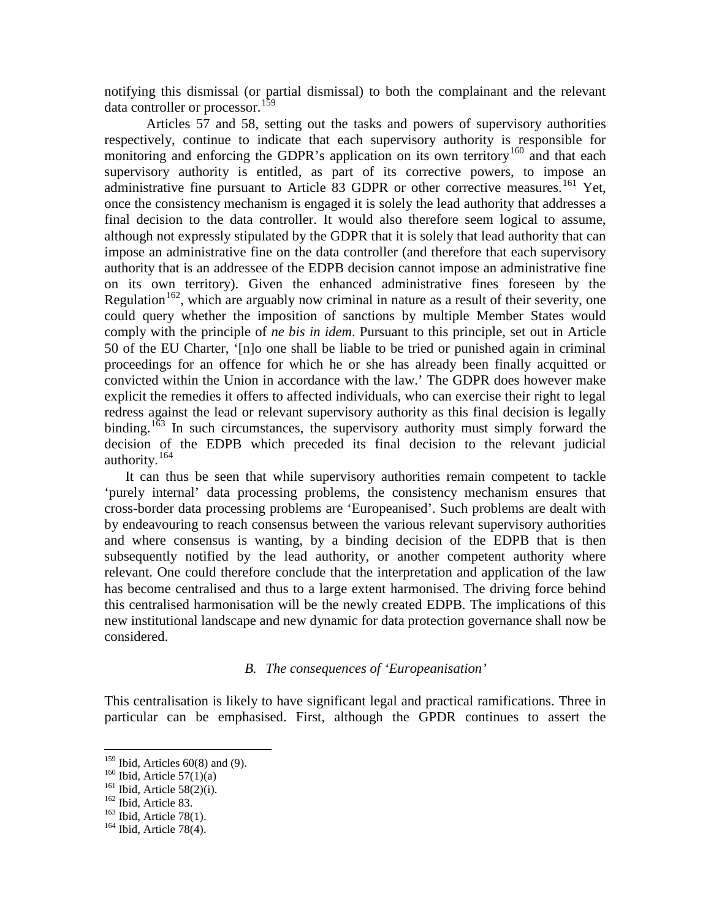notifying this dismissal (or partial dismissal) to both the complainant and the relevant data controller or processor.<sup>[159](#page-21-9)</sup>

Articles 57 and 58, setting out the tasks and powers of supervisory authorities respectively, continue to indicate that each supervisory authority is responsible for monitoring and enforcing the GDPR's application on its own territory<sup>[160](#page-22-0)</sup> and that each supervisory authority is entitled, as part of its corrective powers, to impose an administrative fine pursuant to Article 83 GDPR or other corrective measures.<sup>[161](#page-22-1)</sup> Yet, once the consistency mechanism is engaged it is solely the lead authority that addresses a final decision to the data controller. It would also therefore seem logical to assume, although not expressly stipulated by the GDPR that it is solely that lead authority that can impose an administrative fine on the data controller (and therefore that each supervisory authority that is an addressee of the EDPB decision cannot impose an administrative fine on its own territory). Given the enhanced administrative fines foreseen by the Regulation<sup>[162](#page-22-2)</sup>, which are arguably now criminal in nature as a result of their severity, one could query whether the imposition of sanctions by multiple Member States would comply with the principle of *ne bis in idem*. Pursuant to this principle, set out in Article 50 of the EU Charter, '[n]o one shall be liable to be tried or punished again in criminal proceedings for an offence for which he or she has already been finally acquitted or convicted within the Union in accordance with the law.' The GDPR does however make explicit the remedies it offers to affected individuals, who can exercise their right to legal redress against the lead or relevant supervisory authority as this final decision is legally binding.<sup>[163](#page-22-3)</sup> In such circumstances, the supervisory authority must simply forward the decision of the EDPB which preceded its final decision to the relevant judicial authority.<sup>[164](#page-22-4)</sup>

It can thus be seen that while supervisory authorities remain competent to tackle 'purely internal' data processing problems, the consistency mechanism ensures that cross-border data processing problems are 'Europeanised'. Such problems are dealt with by endeavouring to reach consensus between the various relevant supervisory authorities and where consensus is wanting, by a binding decision of the EDPB that is then subsequently notified by the lead authority, or another competent authority where relevant. One could therefore conclude that the interpretation and application of the law has become centralised and thus to a large extent harmonised. The driving force behind this centralised harmonisation will be the newly created EDPB. The implications of this new institutional landscape and new dynamic for data protection governance shall now be considered.

#### *B. The consequences of 'Europeanisation'*

This centralisation is likely to have significant legal and practical ramifications. Three in particular can be emphasised. First, although the GPDR continues to assert the

<span id="page-22-0"></span><sup>&</sup>lt;sup>159</sup> Ibid, Articles 60(8) and (9).<br><sup>160</sup> Ibid, Article 57(1)(a)<br><sup>161</sup> Ibid, Article 58(2)(i).<br><sup>162</sup> Ibid, Article 83.<br><sup>163</sup> Ibid, Article 78(1).<br><sup>164</sup> Ibid, Article 78(4).

<span id="page-22-1"></span>

<span id="page-22-3"></span><span id="page-22-2"></span>

<span id="page-22-4"></span>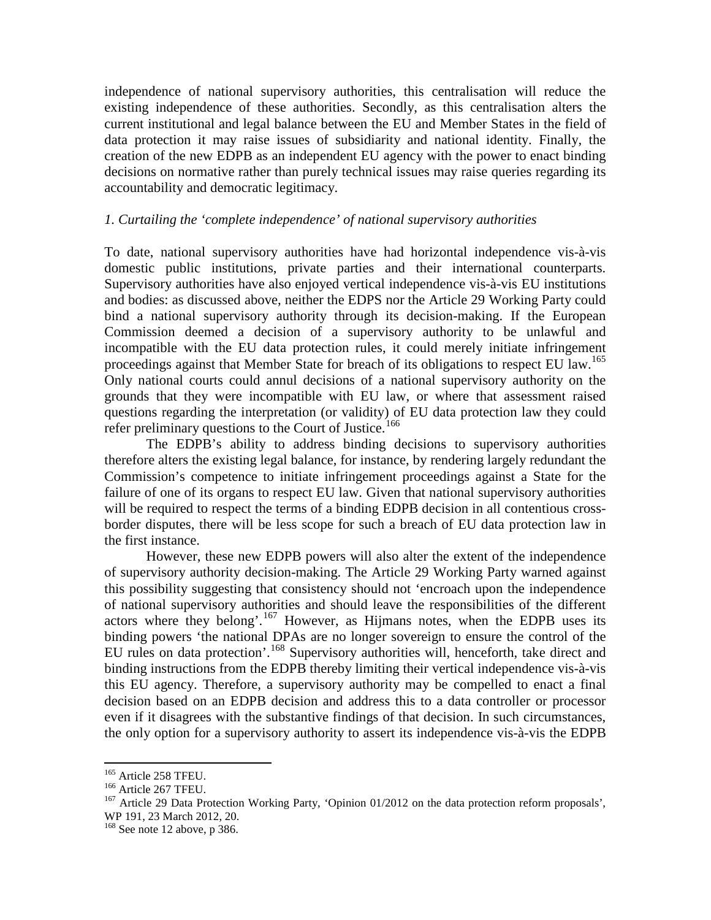independence of national supervisory authorities, this centralisation will reduce the existing independence of these authorities. Secondly, as this centralisation alters the current institutional and legal balance between the EU and Member States in the field of data protection it may raise issues of subsidiarity and national identity. Finally, the creation of the new EDPB as an independent EU agency with the power to enact binding decisions on normative rather than purely technical issues may raise queries regarding its accountability and democratic legitimacy.

#### *1. Curtailing the 'complete independence' of national supervisory authorities*

To date, national supervisory authorities have had horizontal independence vis-à-vis domestic public institutions, private parties and their international counterparts. Supervisory authorities have also enjoyed vertical independence vis-à-vis EU institutions and bodies: as discussed above, neither the EDPS nor the Article 29 Working Party could bind a national supervisory authority through its decision-making. If the European Commission deemed a decision of a supervisory authority to be unlawful and incompatible with the EU data protection rules, it could merely initiate infringement proceedings against that Member State for breach of its obligations to respect EU law.<sup>[165](#page-22-0)</sup> Only national courts could annul decisions of a national supervisory authority on the grounds that they were incompatible with EU law, or where that assessment raised questions regarding the interpretation (or validity) of EU data protection law they could refer preliminary questions to the Court of Justice.<sup>[166](#page-23-0)</sup>

The EDPB's ability to address binding decisions to supervisory authorities therefore alters the existing legal balance, for instance, by rendering largely redundant the Commission's competence to initiate infringement proceedings against a State for the failure of one of its organs to respect EU law. Given that national supervisory authorities will be required to respect the terms of a binding EDPB decision in all contentious crossborder disputes, there will be less scope for such a breach of EU data protection law in the first instance.

However, these new EDPB powers will also alter the extent of the independence of supervisory authority decision-making. The Article 29 Working Party warned against this possibility suggesting that consistency should not 'encroach upon the independence of national supervisory authorities and should leave the responsibilities of the different actors where they belong'.[167](#page-23-1) However, as Hijmans notes, when the EDPB uses its binding powers 'the national DPAs are no longer sovereign to ensure the control of the EU rules on data protection'.<sup>[168](#page-23-2)</sup> Supervisory authorities will, henceforth, take direct and binding instructions from the EDPB thereby limiting their vertical independence vis-à-vis this EU agency. Therefore, a supervisory authority may be compelled to enact a final decision based on an EDPB decision and address this to a data controller or processor even if it disagrees with the substantive findings of that decision. In such circumstances, the only option for a supervisory authority to assert its independence vis-à-vis the EDPB

<span id="page-23-1"></span>

<span id="page-23-3"></span><span id="page-23-0"></span><sup>&</sup>lt;sup>165</sup> Article 258 TFEU.<br><sup>166</sup> Article 267 TFEU.<br><sup>167</sup> Article 29 Data Protection Working Party, 'Opinion 01/2012 on the data protection reform proposals',<br>WP 191. 23 March 2012, 20.

<span id="page-23-2"></span> $168$  See note 12 above, p 386.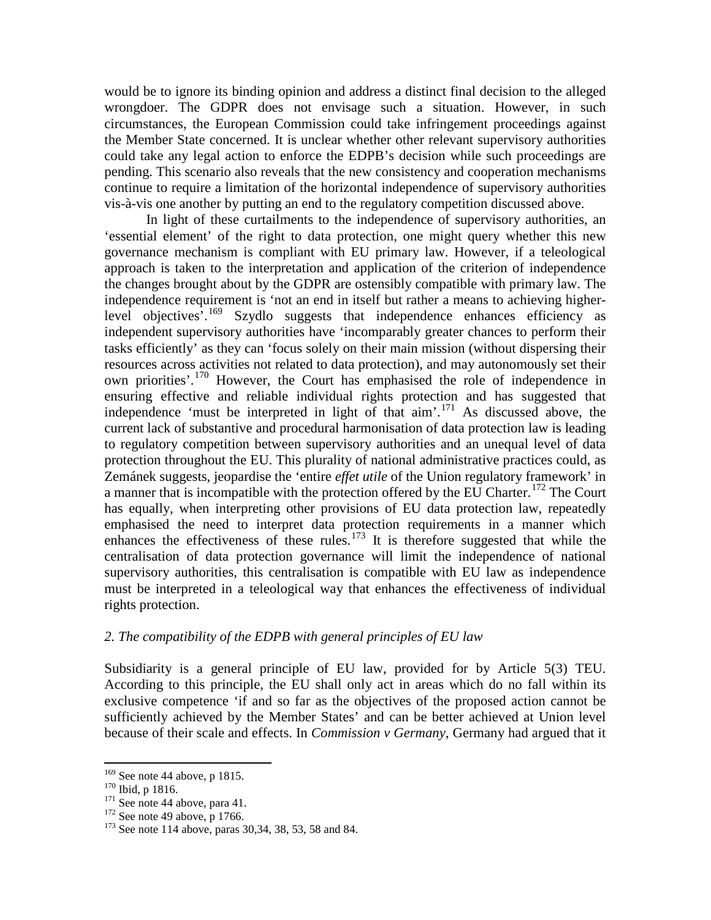would be to ignore its binding opinion and address a distinct final decision to the alleged wrongdoer. The GDPR does not envisage such a situation. However, in such circumstances, the European Commission could take infringement proceedings against the Member State concerned. It is unclear whether other relevant supervisory authorities could take any legal action to enforce the EDPB's decision while such proceedings are pending. This scenario also reveals that the new consistency and cooperation mechanisms continue to require a limitation of the horizontal independence of supervisory authorities vis-à-vis one another by putting an end to the regulatory competition discussed above.

In light of these curtailments to the independence of supervisory authorities, an 'essential element' of the right to data protection, one might query whether this new governance mechanism is compliant with EU primary law. However, if a teleological approach is taken to the interpretation and application of the criterion of independence the changes brought about by the GDPR are ostensibly compatible with primary law. The independence requirement is 'not an end in itself but rather a means to achieving higherlevel objectives<sup> $169$ </sup> Szydlo suggests that independence enhances efficiency as independent supervisory authorities have 'incomparably greater chances to perform their tasks efficiently' as they can 'focus solely on their main mission (without dispersing their resources across activities not related to data protection), and may autonomously set their own priorities'.[170](#page-24-0) However, the Court has emphasised the role of independence in ensuring effective and reliable individual rights protection and has suggested that independence 'must be interpreted in light of that  $\dim$ <sup>[171](#page-24-1)</sup> As discussed above, the current lack of substantive and procedural harmonisation of data protection law is leading to regulatory competition between supervisory authorities and an unequal level of data protection throughout the EU. This plurality of national administrative practices could, as Zemánek suggests, jeopardise the 'entire *effet utile* of the Union regulatory framework' in a manner that is incompatible with the protection offered by the EU Charter.<sup>[172](#page-24-2)</sup> The Court has equally, when interpreting other provisions of EU data protection law, repeatedly emphasised the need to interpret data protection requirements in a manner which enhances the effectiveness of these rules.<sup>[173](#page-24-3)</sup> It is therefore suggested that while the centralisation of data protection governance will limit the independence of national supervisory authorities, this centralisation is compatible with EU law as independence must be interpreted in a teleological way that enhances the effectiveness of individual rights protection.

#### <span id="page-24-4"></span>*2. The compatibility of the EDPB with general principles of EU law*

Subsidiarity is a general principle of EU law, provided for by Article 5(3) TEU. According to this principle, the EU shall only act in areas which do no fall within its exclusive competence 'if and so far as the objectives of the proposed action cannot be sufficiently achieved by the Member States' and can be better achieved at Union level because of their scale and effects. In *Commission v Germany*, Germany had argued that it

<span id="page-24-1"></span>

<span id="page-24-3"></span><span id="page-24-2"></span>

<span id="page-24-0"></span><sup>&</sup>lt;sup>169</sup> See note 44 above, p 1815.<br><sup>170</sup> Ibid, p 1816.<br><sup>171</sup> See note 44 above, para 41.<br><sup>172</sup> See note 49 above, p 1766.<br><sup>173</sup> See note 114 above, paras 30,34, 38, 53, 58 and 84.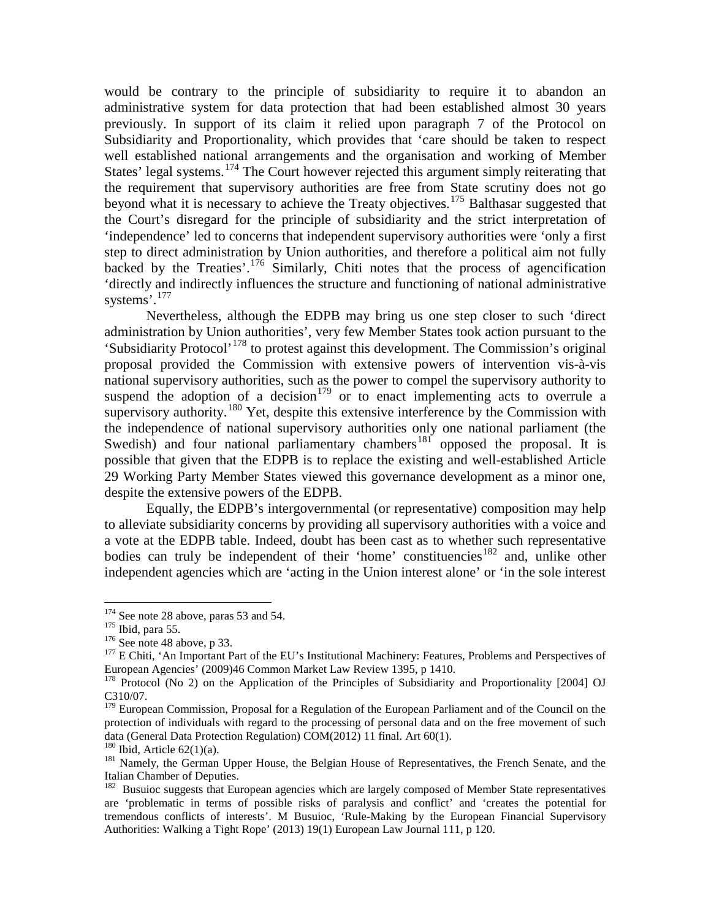would be contrary to the principle of subsidiarity to require it to abandon an administrative system for data protection that had been established almost 30 years previously. In support of its claim it relied upon paragraph 7 of the Protocol on Subsidiarity and Proportionality, which provides that 'care should be taken to respect well established national arrangements and the organisation and working of Member States' legal systems.<sup>[174](#page-24-4)</sup> The Court however rejected this argument simply reiterating that the requirement that supervisory authorities are free from State scrutiny does not go beyond what it is necessary to achieve the Treaty objectives.<sup>[175](#page-25-0)</sup> Balthasar suggested that the Court's disregard for the principle of subsidiarity and the strict interpretation of 'independence' led to concerns that independent supervisory authorities were 'only a first step to direct administration by Union authorities, and therefore a political aim not fully backed by the Treaties'.<sup>[176](#page-25-1)</sup> Similarly, Chiti notes that the process of agencification 'directly and indirectly influences the structure and functioning of national administrative systems'.<sup>[177](#page-25-2)</sup>

Nevertheless, although the EDPB may bring us one step closer to such 'direct administration by Union authorities', very few Member States took action pursuant to the 'Subsidiarity Protocol'[178](#page-25-3) to protest against this development. The Commission's original proposal provided the Commission with extensive powers of intervention vis-à-vis national supervisory authorities, such as the power to compel the supervisory authority to suspend the adoption of a decision<sup>[179](#page-25-4)</sup> or to enact implementing acts to overrule a supervisory authority.<sup>[180](#page-25-5)</sup> Yet, despite this extensive interference by the Commission with the independence of national supervisory authorities only one national parliament (the Swedish) and four national parliamentary chambers<sup>[181](#page-25-6)</sup> opposed the proposal. It is possible that given that the EDPB is to replace the existing and well-established Article 29 Working Party Member States viewed this governance development as a minor one, despite the extensive powers of the EDPB.

Equally, the EDPB's intergovernmental (or representative) composition may help to alleviate subsidiarity concerns by providing all supervisory authorities with a voice and a vote at the EDPB table. Indeed, doubt has been cast as to whether such representative bodies can truly be independent of their 'home' constituencies<sup>[182](#page-25-7)</sup> and, unlike other independent agencies which are 'acting in the Union interest alone' or 'in the sole interest

<span id="page-25-2"></span><span id="page-25-1"></span>

<span id="page-25-0"></span><sup>&</sup>lt;sup>174</sup> See note 28 above, paras 53 and 54.<br><sup>175</sup> Ibid, para 55. 176 See note 48 above, p 33.<br><sup>176</sup> See note 48 above, p 33.<br><sup>177</sup> E Chiti, 'An Important Part of the EU's Institutional Machinery: Features, Problems and Pers European Agencies' (2009)46 Common Market Law Review 1395, p 1410.

<span id="page-25-3"></span><sup>&</sup>lt;sup>178</sup> Protocol (No 2) on the Application of the Principles of Subsidiarity and Proportionality [2004] OJ C310/07.

<span id="page-25-4"></span><sup>&</sup>lt;sup>179</sup> European Commission, Proposal for a Regulation of the European Parliament and of the Council on the protection of individuals with regard to the processing of personal data and on the free movement of such data (General Data Protection Regulation) COM(2012) 11 final. Art 60(1).

<span id="page-25-6"></span><span id="page-25-5"></span><sup>&</sup>lt;sup>180</sup> Ibid, Article 62(1)(a).  $\frac{180 \text{ N}}{181 \text{ N}}$  Namely, the German Upper House, the Belgian House of Representatives, the French Senate, and the Italian Chamber of Deputies.

<span id="page-25-7"></span><sup>&</sup>lt;sup>182</sup> Busuioc suggests that European agencies which are largely composed of Member State representatives are 'problematic in terms of possible risks of paralysis and conflict' and 'creates the potential for tremendous conflicts of interests'. M Busuioc, 'Rule-Making by the European Financial Supervisory Authorities: Walking a Tight Rope' (2013) 19(1) European Law Journal 111, p 120.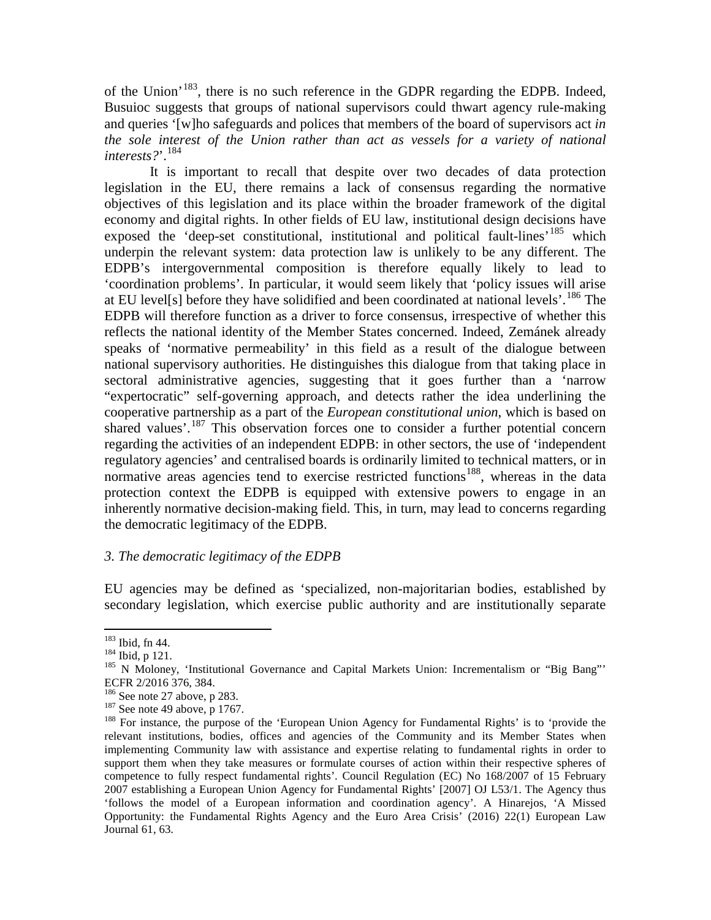of the Union'[183](#page-25-1), there is no such reference in the GDPR regarding the EDPB. Indeed, Busuioc suggests that groups of national supervisors could thwart agency rule-making and queries '[w]ho safeguards and polices that members of the board of supervisors act *in the sole interest of the Union rather than act as vessels for a variety of national interests?*'.[184](#page-26-0)

It is important to recall that despite over two decades of data protection legislation in the EU, there remains a lack of consensus regarding the normative objectives of this legislation and its place within the broader framework of the digital economy and digital rights. In other fields of EU law, institutional design decisions have exposed the 'deep-set constitutional, institutional and political fault-lines'<sup>[185](#page-26-1)</sup> which underpin the relevant system: data protection law is unlikely to be any different. The EDPB's intergovernmental composition is therefore equally likely to lead to 'coordination problems'. In particular, it would seem likely that 'policy issues will arise at EU level[s] before they have solidified and been coordinated at national levels'.<sup>[186](#page-26-2)</sup> The EDPB will therefore function as a driver to force consensus, irrespective of whether this reflects the national identity of the Member States concerned. Indeed, Zemánek already speaks of 'normative permeability' in this field as a result of the dialogue between national supervisory authorities. He distinguishes this dialogue from that taking place in sectoral administrative agencies, suggesting that it goes further than a 'narrow "expertocratic" self-governing approach, and detects rather the idea underlining the cooperative partnership as a part of the *European constitutional union*, which is based on shared values'.<sup>[187](#page-26-3)</sup> This observation forces one to consider a further potential concern regarding the activities of an independent EDPB: in other sectors, the use of 'independent regulatory agencies' and centralised boards is ordinarily limited to technical matters, or in normative areas agencies tend to exercise restricted functions<sup>[188](#page-26-4)</sup>, whereas in the data protection context the EDPB is equipped with extensive powers to engage in an inherently normative decision-making field. This, in turn, may lead to concerns regarding the democratic legitimacy of the EDPB.

#### *3. The democratic legitimacy of the EDPB*

EU agencies may be defined as 'specialized, non-majoritarian bodies, established by secondary legislation, which exercise public authority and are institutionally separate

<span id="page-26-1"></span>

<span id="page-26-5"></span><span id="page-26-0"></span><sup>&</sup>lt;sup>183</sup> Ibid, fn 44.<br><sup>184</sup> Ibid, p 121.<br><sup>185</sup> N Moloney, 'Institutional Governance and Capital Markets Union: Incrementalism or "Big Bang"' ECFR 2/2016 376, 384.<br><sup>186</sup> See note 27 above, p 283.

<span id="page-26-4"></span><span id="page-26-3"></span><span id="page-26-2"></span><sup>&</sup>lt;sup>187</sup> See note 49 above, p 1767.<br><sup>188</sup> For instance, the purpose of the 'European Union Agency for Fundamental Rights' is to 'provide the relevant institutions, bodies, offices and agencies of the Community and its Member States when implementing Community law with assistance and expertise relating to fundamental rights in order to support them when they take measures or formulate courses of action within their respective spheres of competence to fully respect fundamental rights'. Council Regulation (EC) No 168/2007 of 15 February 2007 establishing a European Union Agency for Fundamental Rights' [2007] OJ L53/1. The Agency thus 'follows the model of a European information and coordination agency'. A Hinarejos, 'A Missed Opportunity: the Fundamental Rights Agency and the Euro Area Crisis' (2016) 22(1) European Law Journal 61, 63.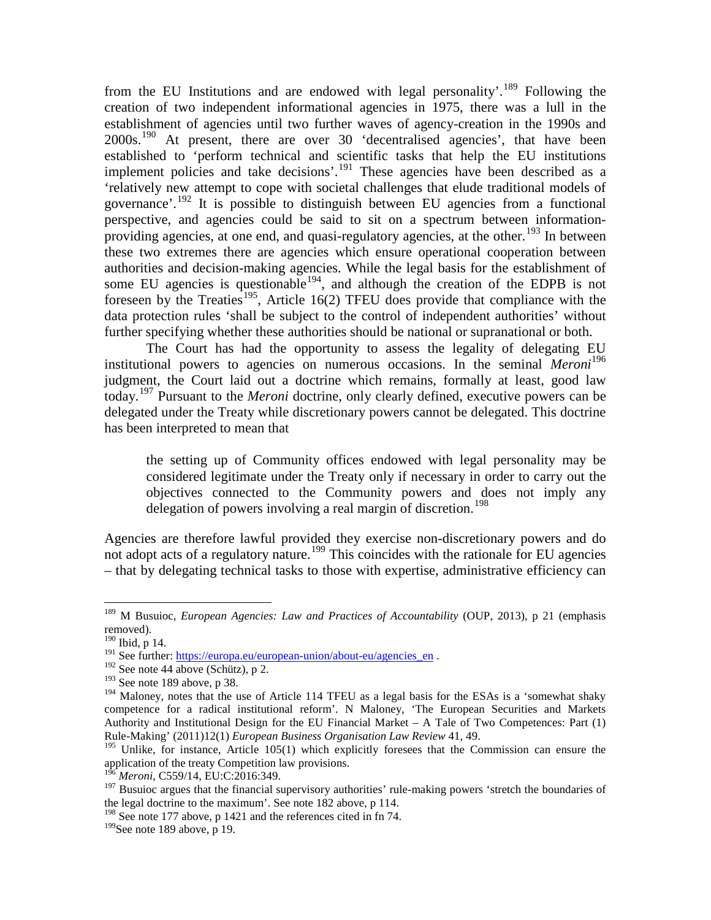from the EU Institutions and are endowed with legal personality'.<sup>[189](#page-26-5)</sup> Following the creation of two independent informational agencies in 1975, there was a lull in the establishment of agencies until two further waves of agency-creation in the 1990s and 2000s.<sup>[190](#page-27-0)</sup> At present, there are over 30 'decentralised agencies', that have been established to 'perform technical and scientific tasks that help the EU institutions implement policies and take decisions'.<sup>[191](#page-27-1)</sup> These agencies have been described as a 'relatively new attempt to cope with societal challenges that elude traditional models of governance'. [192](#page-27-2) It is possible to distinguish between EU agencies from a functional perspective, and agencies could be said to sit on a spectrum between information-providing agencies, at one end, and quasi-regulatory agencies, at the other.<sup>[193](#page-27-3)</sup> In between these two extremes there are agencies which ensure operational cooperation between authorities and decision-making agencies. While the legal basis for the establishment of some EU agencies is questionable<sup>194</sup>, and although the creation of the EDPB is not foreseen by the Treaties<sup>[195](#page-27-5)</sup>, Article 16(2) TFEU does provide that compliance with the data protection rules 'shall be subject to the control of independent authorities' without further specifying whether these authorities should be national or supranational or both.

The Court has had the opportunity to assess the legality of delegating EU institutional powers to agencies on numerous occasions. In the seminal *Meroni*[196](#page-27-6) judgment, the Court laid out a doctrine which remains, formally at least, good law today.[197](#page-27-7) Pursuant to the *Meroni* doctrine, only clearly defined, executive powers can be delegated under the Treaty while discretionary powers cannot be delegated. This doctrine has been interpreted to mean that

the setting up of Community offices endowed with legal personality may be considered legitimate under the Treaty only if necessary in order to carry out the objectives connected to the Community powers and does not imply any delegation of powers involving a real margin of discretion.<sup>[198](#page-27-8)</sup>

Agencies are therefore lawful provided they exercise non-discretionary powers and do not adopt acts of a regulatory nature.<sup>[199](#page-27-9)</sup> This coincides with the rationale for EU agencies – that by delegating technical tasks to those with expertise, administrative efficiency can

<sup>189</sup> M Busuioc, *European Agencies: Law and Practices of Accountability* (OUP, 2013), p 21 (emphasis removed).

<span id="page-27-0"></span> $190$  Ibid, p 14.

<span id="page-27-1"></span><sup>&</sup>lt;sup>191</sup> See further: <u>https://europa[.](https://europa.eu/european-union/about-eu/agencies_en)eu/european-union/about-eu/agencies en</u> .<br><sup>192</sup> See note 44 above (Schütz), p 2.

<span id="page-27-3"></span><span id="page-27-2"></span> $193$  See note 189 above, p 38.

<span id="page-27-4"></span><sup>&</sup>lt;sup>194</sup> Maloney, notes that the use of Article 114 TFEU as a legal basis for the ESAs is a 'somewhat shaky competence for a radical institutional reform'. N Maloney, 'The European Securities and Markets Authority and Institutional Design for the EU Financial Market – A Tale of Two Competences: Part (1) Rule-Making' (2011)12(1) *European Business Organisation Law Review* 41, 49.

<span id="page-27-5"></span><sup>&</sup>lt;sup>195</sup> Unlike, for instance, Article  $105(1)$  which explicitly foresees that the Commission can ensure the application of the treaty Competition law provisions.

<sup>&</sup>lt;sup>5</sup> Meroni, C559/14, EU:C:2016:349.

<span id="page-27-7"></span><span id="page-27-6"></span><sup>&</sup>lt;sup>197</sup> Busuioc argues that the financial supervisory authorities' rule-making powers 'stretch the boundaries of the legal doctrine to the maximum'. See note 182 above, p 114.

<span id="page-27-8"></span><sup>&</sup>lt;sup>198</sup> See note 177 above, p 1421 and the references cited in fn 74.

<span id="page-27-9"></span> $199$ See note 189 above, p 19.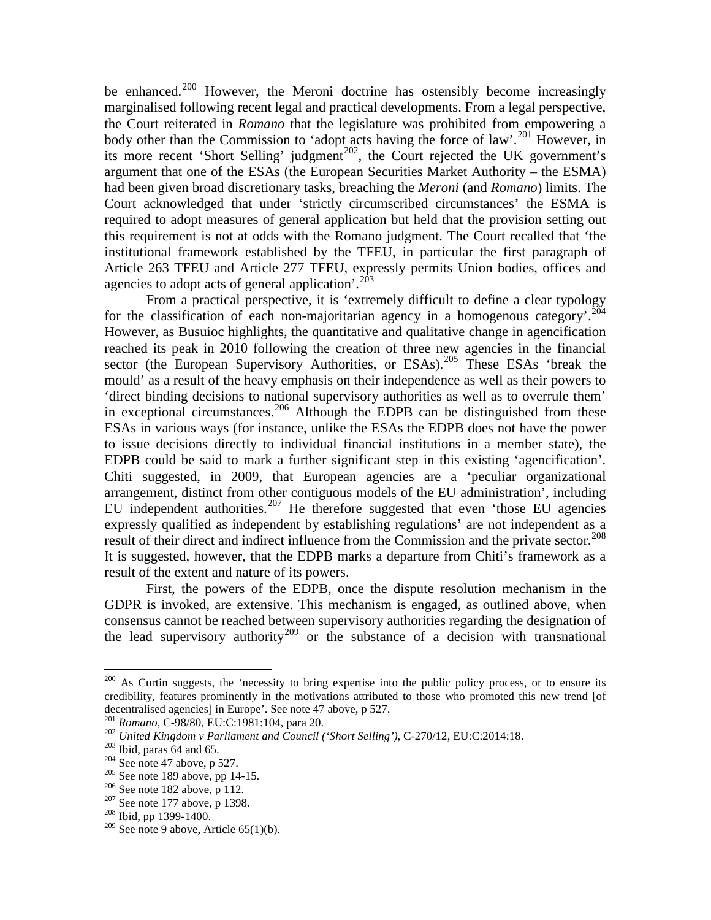be enhanced.<sup>[200](#page-27-3)</sup> However, the Meroni doctrine has ostensibly become increasingly marginalised following recent legal and practical developments. From a legal perspective, the Court reiterated in *Romano* that the legislature was prohibited from empowering a body other than the Commission to 'adopt acts having the force of law'.<sup>[201](#page-28-0)</sup> However, in its more recent 'Short Selling' judgment<sup>202</sup>, the Court rejected the UK government's argument that one of the ESAs (the European Securities Market Authority – the ESMA) had been given broad discretionary tasks, breaching the *Meroni* (and *Romano*) limits. The Court acknowledged that under 'strictly circumscribed circumstances' the ESMA is required to adopt measures of general application but held that the provision setting out this requirement is not at odds with the Romano judgment. The Court recalled that 'the institutional framework established by the TFEU, in particular the first paragraph of Article 263 TFEU and Article 277 TFEU, expressly permits Union bodies, offices and agencies to adopt acts of general application'.  $2^{03}$ 

From a practical perspective, it is 'extremely difficult to define a clear typology for the classification of each non-majoritarian agency in a homogenous category.<sup>[204](#page-28-3)</sup> However, as Busuioc highlights, the quantitative and qualitative change in agencification reached its peak in 2010 following the creation of three new agencies in the financial sector (the European Supervisory Authorities, or ESAs).<sup>[205](#page-28-4)</sup> These ESAs 'break the mould' as a result of the heavy emphasis on their independence as well as their powers to 'direct binding decisions to national supervisory authorities as well as to overrule them' in exceptional circumstances.<sup>[206](#page-28-5)</sup> Although the EDPB can be distinguished from these ESAs in various ways (for instance, unlike the ESAs the EDPB does not have the power to issue decisions directly to individual financial institutions in a member state), the EDPB could be said to mark a further significant step in this existing 'agencification'. Chiti suggested, in 2009, that European agencies are a 'peculiar organizational arrangement, distinct from other contiguous models of the EU administration', including EU independent authorities.<sup>[207](#page-28-6)</sup> He therefore suggested that even 'those EU agencies expressly qualified as independent by establishing regulations' are not independent as a result of their direct and indirect influence from the Commission and the private sector.<sup>[208](#page-28-7)</sup> It is suggested, however, that the EDPB marks a departure from Chiti's framework as a result of the extent and nature of its powers.

<span id="page-28-9"></span>First, the powers of the EDPB, once the dispute resolution mechanism in the GDPR is invoked, are extensive. This mechanism is engaged, as outlined above, when consensus cannot be reached between supervisory authorities regarding the designation of the lead supervisory authority<sup>[209](#page-28-8)</sup> or the substance of a decision with transnational

<sup>&</sup>lt;sup>200</sup> As Curtin suggests, the 'necessity to bring expertise into the public policy process, or to ensure its credibility, features prominently in the motivations attributed to those who promoted this new trend [of decentralised agencies] in Europe'. See note 47 above, p 527.

<span id="page-28-1"></span><span id="page-28-0"></span><sup>&</sup>lt;sup>201</sup> Romano, C-98/80, EU:C:1981:104, para 20.<br><sup>202</sup> United Kingdom v Parliament and Council ('Short Selling'), C-270/12, EU:C:2014:18.<br><sup>203</sup> Ibid, paras 64 and 65.<br><sup>203</sup> See note 47 above, p 527.<br><sup>205</sup> See note 189 above

<span id="page-28-2"></span>

<span id="page-28-3"></span>

<span id="page-28-5"></span><span id="page-28-4"></span>

<span id="page-28-6"></span>

<span id="page-28-8"></span><span id="page-28-7"></span> $209$  See note 9 above, Article 65(1)(b).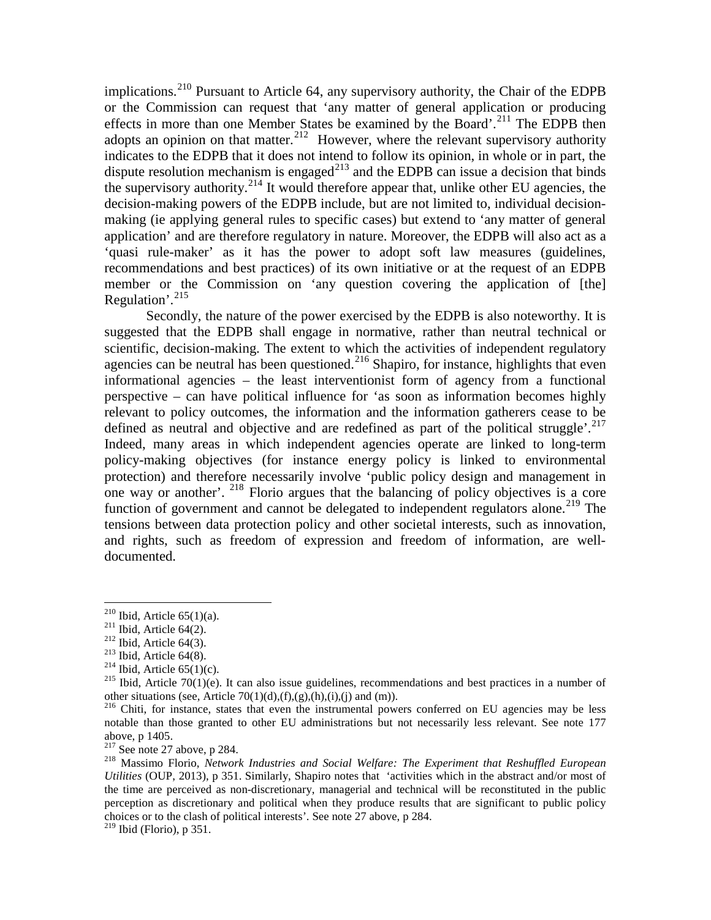implications.<sup>[210](#page-28-9)</sup> Pursuant to Article 64, any supervisory authority, the Chair of the EDPB or the Commission can request that 'any matter of general application or producing effects in more than one Member States be examined by the Board'.<sup>[211](#page-29-0)</sup> The EDPB then adopts an opinion on that matter.<sup>212</sup> However, where the relevant supervisory authority indicates to the EDPB that it does not intend to follow its opinion, in whole or in part, the dispute resolution mechanism is engaged $^{213}$  $^{213}$  $^{213}$  and the EDPB can issue a decision that binds the supervisory authority.<sup>[214](#page-29-3)</sup> It would therefore appear that, unlike other EU agencies, the decision-making powers of the EDPB include, but are not limited to, individual decisionmaking (ie applying general rules to specific cases) but extend to 'any matter of general application' and are therefore regulatory in nature. Moreover, the EDPB will also act as a 'quasi rule-maker' as it has the power to adopt soft law measures (guidelines, recommendations and best practices) of its own initiative or at the request of an EDPB member or the Commission on 'any question covering the application of [the] Regulation'.<sup>[215](#page-29-4)</sup>

Secondly, the nature of the power exercised by the EDPB is also noteworthy. It is suggested that the EDPB shall engage in normative, rather than neutral technical or scientific, decision-making. The extent to which the activities of independent regulatory agencies can be neutral has been questioned.<sup>[216](#page-29-5)</sup> Shapiro, for instance, highlights that even informational agencies – the least interventionist form of agency from a functional perspective – can have political influence for 'as soon as information becomes highly relevant to policy outcomes, the information and the information gatherers cease to be defined as neutral and objective and are redefined as part of the political struggle'. $^{217}$  $^{217}$  $^{217}$ Indeed, many areas in which independent agencies operate are linked to long-term policy-making objectives (for instance energy policy is linked to environmental protection) and therefore necessarily involve 'public policy design and management in one way or another'.  $218$  Florio argues that the balancing of policy objectives is a core function of government and cannot be delegated to independent regulators alone.<sup>[219](#page-29-8)</sup> The tensions between data protection policy and other societal interests, such as innovation, and rights, such as freedom of expression and freedom of information, are welldocumented.

<span id="page-29-1"></span>

<span id="page-29-2"></span>

<span id="page-29-4"></span><span id="page-29-3"></span>

<span id="page-29-0"></span><sup>&</sup>lt;sup>210</sup> Ibid, Article 65(1)(a).<br><sup>211</sup> Ibid, Article 64(2).<br><sup>212</sup> Ibid, Article 64(3).<br><sup>213</sup> Ibid, Article 65(1)(c).<br><sup>214</sup> Ibid, Article 65(1)(c).<br><sup>215</sup> Ibid, Article 70(1)(e). It can also issue guidelines, recommendations a other situations (see, Article  $70(1)(d)$ , $(f)$ , $(g)$ , $(h)$ , $(i)$ , $(i)$  and  $(m)$ ).

<span id="page-29-5"></span><sup>&</sup>lt;sup>216</sup> Chiti, for instance, states that even the instrumental powers conferred on EU agencies may be less notable than those granted to other EU administrations but not necessarily less relevant. See note 177 above, p 1405.<br><sup>217</sup> See note 27 above, p 284.

<span id="page-29-9"></span><span id="page-29-6"></span>

<span id="page-29-7"></span><sup>&</sup>lt;sup>218</sup> Massimo Florio, *Network Industries and Social Welfare: The Experiment that Reshuffled European Utilities* (OUP, 2013), p 351. Similarly, Shapiro notes that 'activities which in the abstract and/or most of the time are perceived as non-discretionary, managerial and technical will be reconstituted in the public perception as discretionary and political when they produce results that are significant to public policy choices or to the clash of political interests'. See note 27 above, p 284.

<span id="page-29-8"></span> $219$  Ibid (Florio), p 351.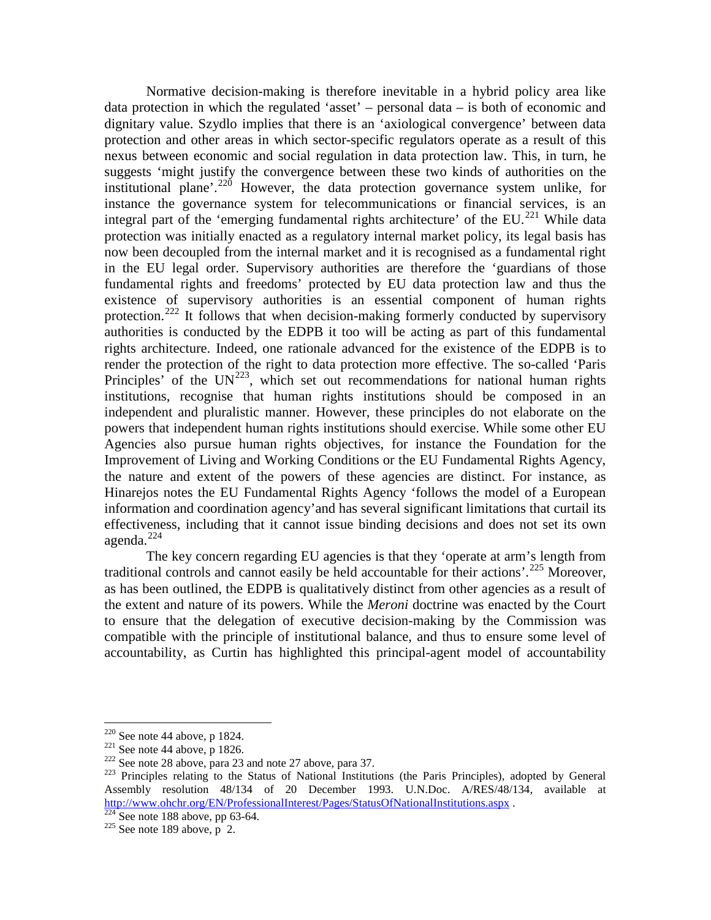Normative decision-making is therefore inevitable in a hybrid policy area like data protection in which the regulated 'asset' – personal data – is both of economic and dignitary value. Szydlo implies that there is an 'axiological convergence' between data protection and other areas in which sector-specific regulators operate as a result of this nexus between economic and social regulation in data protection law. This, in turn, he suggests 'might justify the convergence between these two kinds of authorities on the institutional plane'.[220](#page-29-9) However, the data protection governance system unlike, for instance the governance system for telecommunications or financial services, is an integral part of the 'emerging fundamental rights architecture' of the EU.<sup>[221](#page-30-0)</sup> While data protection was initially enacted as a regulatory internal market policy, its legal basis has now been decoupled from the internal market and it is recognised as a fundamental right in the EU legal order. Supervisory authorities are therefore the 'guardians of those fundamental rights and freedoms' protected by EU data protection law and thus the existence of supervisory authorities is an essential component of human rights protection.<sup>[222](#page-30-1)</sup> It follows that when decision-making formerly conducted by supervisory authorities is conducted by the EDPB it too will be acting as part of this fundamental rights architecture. Indeed, one rationale advanced for the existence of the EDPB is to render the protection of the right to data protection more effective. The so-called 'Paris Principles' of the  $UN^{223}$ , which set out recommendations for national human rights institutions, recognise that human rights institutions should be composed in an independent and pluralistic manner. However, these principles do not elaborate on the powers that independent human rights institutions should exercise. While some other EU Agencies also pursue human rights objectives, for instance the Foundation for the Improvement of Living and Working Conditions or the EU Fundamental Rights Agency, the nature and extent of the powers of these agencies are distinct. For instance, as Hinarejos notes the EU Fundamental Rights Agency 'follows the model of a European information and coordination agency'and has several significant limitations that curtail its effectiveness, including that it cannot issue binding decisions and does not set its own agenda.[224](#page-30-3)

The key concern regarding EU agencies is that they 'operate at arm's length from traditional controls and cannot easily be held accountable for their actions'.<sup>[225](#page-30-4)</sup> Moreover, as has been outlined, the EDPB is qualitatively distinct from other agencies as a result of the extent and nature of its powers. While the *Meroni* doctrine was enacted by the Court to ensure that the delegation of executive decision-making by the Commission was compatible with the principle of institutional balance, and thus to ensure some level of accountability, as Curtin has highlighted this principal-agent model of accountability

<span id="page-30-2"></span><span id="page-30-1"></span>

<span id="page-30-5"></span><span id="page-30-0"></span><sup>&</sup>lt;sup>220</sup> See note 44 above, p 1824.<br><sup>221</sup> See note 44 above, p 1826.<br><sup>222</sup> See note 28 above, para 23 and note 27 above, para 37.<br><sup>223</sup> Principles relating to the Status of National Institutions (the Paris Principles), adopt Assembly resolution 48/134 of 20 December 1993. U.N.Doc. A/RES/48/134, available at http://www.ohchr.org/EN/ProfessionalInterest/Pages/StatusOfNationalInstitutions.aspx . <sup>[224](http://www.ohchr.org/EN/ProfessionalInterest/Pages/StatusOfNationalInstitutions.aspx)</sup> See note 188 above, pp 63-64. <sup>225</sup> See note 189 above, p 2.

<span id="page-30-4"></span><span id="page-30-3"></span>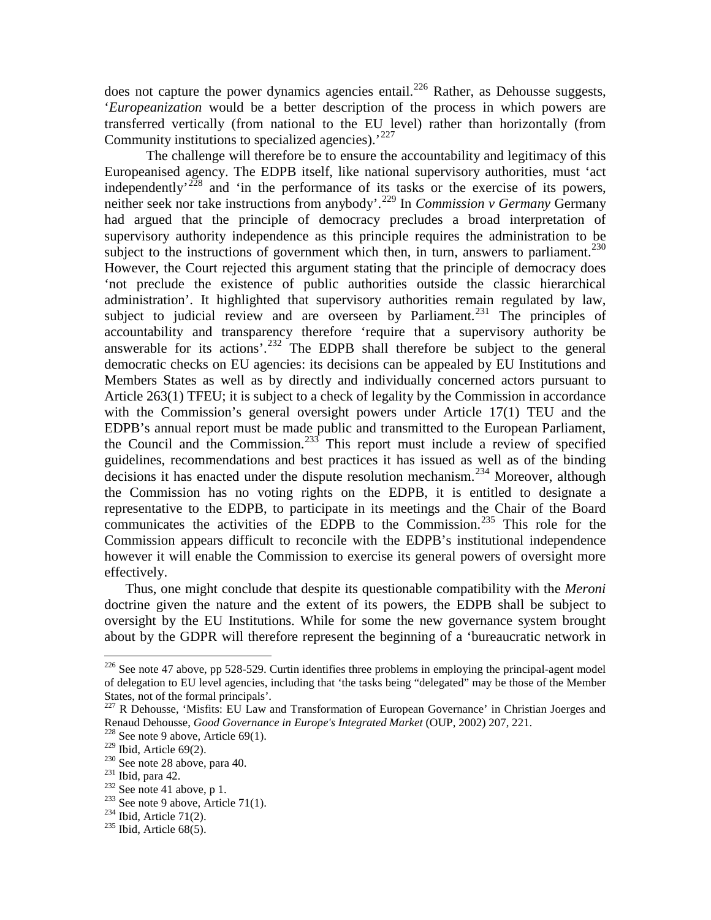does not capture the power dynamics agencies entail.<sup>[226](#page-30-5)</sup> Rather, as Dehousse suggests, '*Europeanization* would be a better description of the process in which powers are transferred vertically (from national to the EU level) rather than horizontally (from Community institutions to specialized agencies).<sup> $227$ </sup>

The challenge will therefore be to ensure the accountability and legitimacy of this Europeanised agency. The EDPB itself, like national supervisory authorities, must 'act independently<sup> $228$ </sup> and 'in the performance of its tasks or the exercise of its powers, neither seek nor take instructions from anybody'.[229](#page-31-2) In *Commission v Germany* Germany had argued that the principle of democracy precludes a broad interpretation of supervisory authority independence as this principle requires the administration to be subject to the instructions of government which then, in turn, answers to parliament.<sup>[230](#page-31-3)</sup> However, the Court rejected this argument stating that the principle of democracy does 'not preclude the existence of public authorities outside the classic hierarchical administration'. It highlighted that supervisory authorities remain regulated by law, subject to judicial review and are overseen by Parliament.<sup>[231](#page-31-4)</sup> The principles of accountability and transparency therefore 'require that a supervisory authority be answerable for its actions'.<sup>[232](#page-31-5)</sup> The EDPB shall therefore be subject to the general democratic checks on EU agencies: its decisions can be appealed by EU Institutions and Members States as well as by directly and individually concerned actors pursuant to Article 263(1) TFEU; it is subject to a check of legality by the Commission in accordance with the Commission's general oversight powers under Article 17(1) TEU and the EDPB's annual report must be made public and transmitted to the European Parliament, the Council and the Commission.<sup>[233](#page-31-6)</sup> This report must include a review of specified guidelines, recommendations and best practices it has issued as well as of the binding decisions it has enacted under the dispute resolution mechanism.<sup>[234](#page-31-7)</sup> Moreover, although the Commission has no voting rights on the EDPB, it is entitled to designate a representative to the EDPB, to participate in its meetings and the Chair of the Board communicates the activities of the EDPB to the Commission.[235](#page-31-8) This role for the Commission appears difficult to reconcile with the EDPB's institutional independence however it will enable the Commission to exercise its general powers of oversight more effectively.

Thus, one might conclude that despite its questionable compatibility with the *Meroni*  doctrine given the nature and the extent of its powers, the EDPB shall be subject to oversight by the EU Institutions. While for some the new governance system brought about by the GDPR will therefore represent the beginning of a 'bureaucratic network in

 $226$  See note 47 above, pp 528-529. Curtin identifies three problems in employing the principal-agent model of delegation to EU level agencies, including that 'the tasks being "delegated" may be those of the Member States, not of the formal principals'.

<span id="page-31-0"></span><sup>&</sup>lt;sup>227</sup> R Dehousse, 'Misfits: EU Law and Transformation of European Governance' in Christian Joerges and Renaud Dehousse, *Good Governance in Europe's Integrated Market* (OUP, 2002) 207, 221.<br><sup>228</sup> See note 9 above, Article 69(1).<br><sup>229</sup> Ibid, Article 69(2).

<span id="page-31-1"></span>

<span id="page-31-6"></span><span id="page-31-5"></span>

<span id="page-31-4"></span><span id="page-31-3"></span><span id="page-31-2"></span><sup>&</sup>lt;sup>230</sup> See note 28 above, para 40.<br><sup>231</sup> Ibid, para 42.<br><sup>232</sup> See note 41 above, p 1.<br><sup>233</sup> See note 9 above, Article 71(1).<br><sup>234</sup> Ibid, Article 71(2).<br><sup>235</sup> Ibid, Article 68(5).

<span id="page-31-8"></span><span id="page-31-7"></span>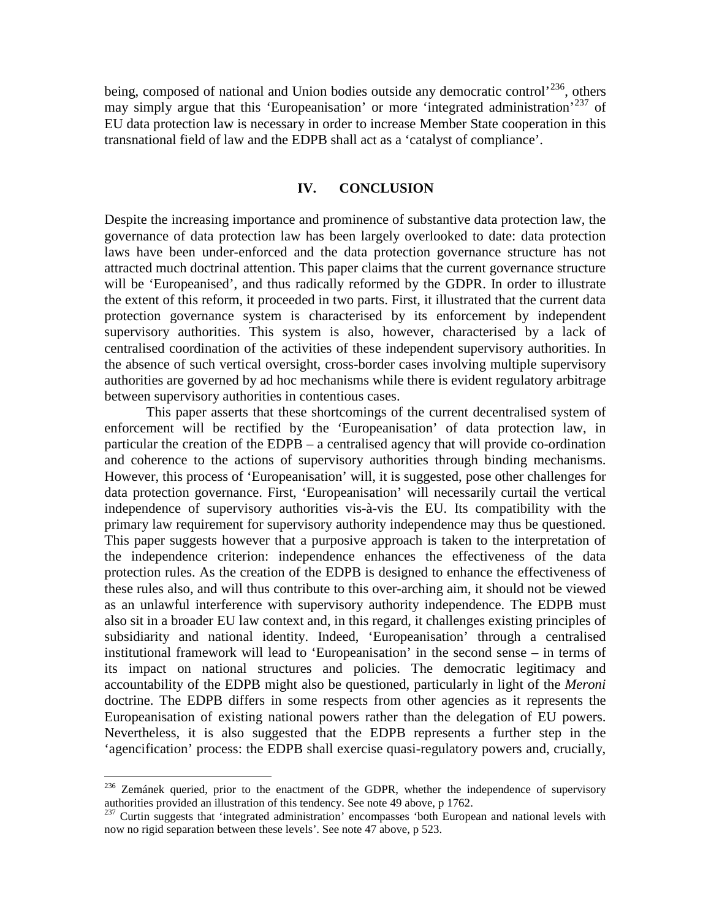being, composed of national and Union bodies outside any democratic control<sup>, [236](#page-31-5)</sup>, others may simply argue that this 'Europeanisation' or more 'integrated administration'<sup>[237](#page-32-0)</sup> of EU data protection law is necessary in order to increase Member State cooperation in this transnational field of law and the EDPB shall act as a 'catalyst of compliance'.

#### **IV. CONCLUSION**

Despite the increasing importance and prominence of substantive data protection law, the governance of data protection law has been largely overlooked to date: data protection laws have been under-enforced and the data protection governance structure has not attracted much doctrinal attention. This paper claims that the current governance structure will be 'Europeanised', and thus radically reformed by the GDPR. In order to illustrate the extent of this reform, it proceeded in two parts. First, it illustrated that the current data protection governance system is characterised by its enforcement by independent supervisory authorities. This system is also, however, characterised by a lack of centralised coordination of the activities of these independent supervisory authorities. In the absence of such vertical oversight, cross-border cases involving multiple supervisory authorities are governed by ad hoc mechanisms while there is evident regulatory arbitrage between supervisory authorities in contentious cases.

This paper asserts that these shortcomings of the current decentralised system of enforcement will be rectified by the 'Europeanisation' of data protection law, in particular the creation of the EDPB – a centralised agency that will provide co-ordination and coherence to the actions of supervisory authorities through binding mechanisms. However, this process of 'Europeanisation' will, it is suggested, pose other challenges for data protection governance. First, 'Europeanisation' will necessarily curtail the vertical independence of supervisory authorities vis-à-vis the EU. Its compatibility with the primary law requirement for supervisory authority independence may thus be questioned. This paper suggests however that a purposive approach is taken to the interpretation of the independence criterion: independence enhances the effectiveness of the data protection rules. As the creation of the EDPB is designed to enhance the effectiveness of these rules also, and will thus contribute to this over-arching aim, it should not be viewed as an unlawful interference with supervisory authority independence. The EDPB must also sit in a broader EU law context and, in this regard, it challenges existing principles of subsidiarity and national identity. Indeed, 'Europeanisation' through a centralised institutional framework will lead to 'Europeanisation' in the second sense – in terms of its impact on national structures and policies. The democratic legitimacy and accountability of the EDPB might also be questioned, particularly in light of the *Meroni*  doctrine. The EDPB differs in some respects from other agencies as it represents the Europeanisation of existing national powers rather than the delegation of EU powers. Nevertheless, it is also suggested that the EDPB represents a further step in the 'agencification' process: the EDPB shall exercise quasi-regulatory powers and, crucially,

 $^{236}$  Zemánek queried, prior to the enactment of the GDPR, whether the independence of supervisory authorities provided an illustration of this tendency. See note 49 above, p 1762.<br><sup>237</sup> Curtin suggests that 'integrated administration' encompasses 'both European and national levels with

<span id="page-32-0"></span>now no rigid separation between these levels'. See note 47 above, p 523.